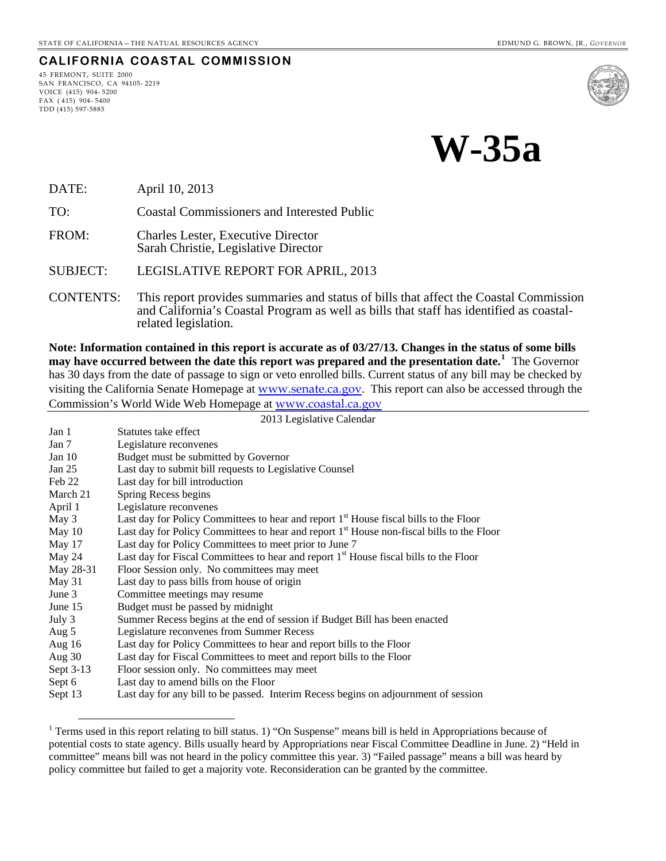## **CALIFORNIA COASTAL COMMISSION**

45 FREMONT, SUITE 2000 SAN FRANCISCO, CA 94105- 2219 VOICE (415) 904- 5200 FAX ( 415) 904- 5400 TDD (415) 597-5885

 $\overline{a}$ 





DATE: April 10, 2013

TO: Coastal Commissioners and Interested Public

FROM: Charles Lester, Executive Director Sarah Christie, Legislative Director

SUBJECT: LEGISLATIVE REPORT FOR APRIL, 2013

CONTENTS: This report provides summaries and status of bills that affect the Coastal Commission and California's Coastal Program as well as bills that staff has identified as coastalrelated legislation.

**Note: Information contained in this report is accurate as of 03/27/13. Changes in the status of some bills may have occurred between the date this report was prepared and the presentation date.[1](#page-0-0)** The Governor has 30 days from the date of passage to sign or veto enrolled bills. Current status of any bill may be checked by visiting the California Senate Homepage at [www.senate.ca.gov](http://www.senate.ca.gov/). This report can also be accessed through the Commission's World Wide Web Homepage at [www.coastal.ca.gov](http://www.coastal.ca.gov/)

|           | 2013 Legislative Calendar                                                                         |  |
|-----------|---------------------------------------------------------------------------------------------------|--|
| Jan 1     | Statutes take effect                                                                              |  |
| Jan $7$   | Legislature reconvenes                                                                            |  |
| Jan $10$  | Budget must be submitted by Governor                                                              |  |
| Jan $25$  | Last day to submit bill requests to Legislative Counsel                                           |  |
| Feb 22    | Last day for bill introduction                                                                    |  |
| March 21  | Spring Recess begins                                                                              |  |
| April 1   | Legislature reconvenes                                                                            |  |
| May 3     | Last day for Policy Committees to hear and report 1 <sup>st</sup> House fiscal bills to the Floor |  |
| May 10    | Last day for Policy Committees to hear and report $1st$ House non-fiscal bills to the Floor       |  |
| May 17    | Last day for Policy Committees to meet prior to June 7                                            |  |
| May 24    | Last day for Fiscal Committees to hear and report 1 <sup>st</sup> House fiscal bills to the Floor |  |
| May 28-31 | Floor Session only. No committees may meet                                                        |  |
| May 31    | Last day to pass bills from house of origin                                                       |  |
| June 3    | Committee meetings may resume                                                                     |  |
| June 15   | Budget must be passed by midnight                                                                 |  |
| July 3    | Summer Recess begins at the end of session if Budget Bill has been enacted                        |  |
| Aug 5     | Legislature reconvenes from Summer Recess                                                         |  |
| Aug $16$  | Last day for Policy Committees to hear and report bills to the Floor                              |  |
| Aug $30$  | Last day for Fiscal Committees to meet and report bills to the Floor                              |  |
| Sept 3-13 | Floor session only. No committees may meet                                                        |  |
| Sept 6    | Last day to amend bills on the Floor                                                              |  |
| Sept 13   | Last day for any bill to be passed. Interim Recess begins on adjournment of session               |  |

<span id="page-0-0"></span><sup>&</sup>lt;sup>1</sup> Terms used in this report relating to bill status. 1) "On Suspense" means bill is held in Appropriations because of potential costs to state agency. Bills usually heard by Appropriations near Fiscal Committee Deadline in June. 2) "Held in committee" means bill was not heard in the policy committee this year. 3) "Failed passage" means a bill was heard by policy committee but failed to get a majority vote. Reconsideration can be granted by the committee.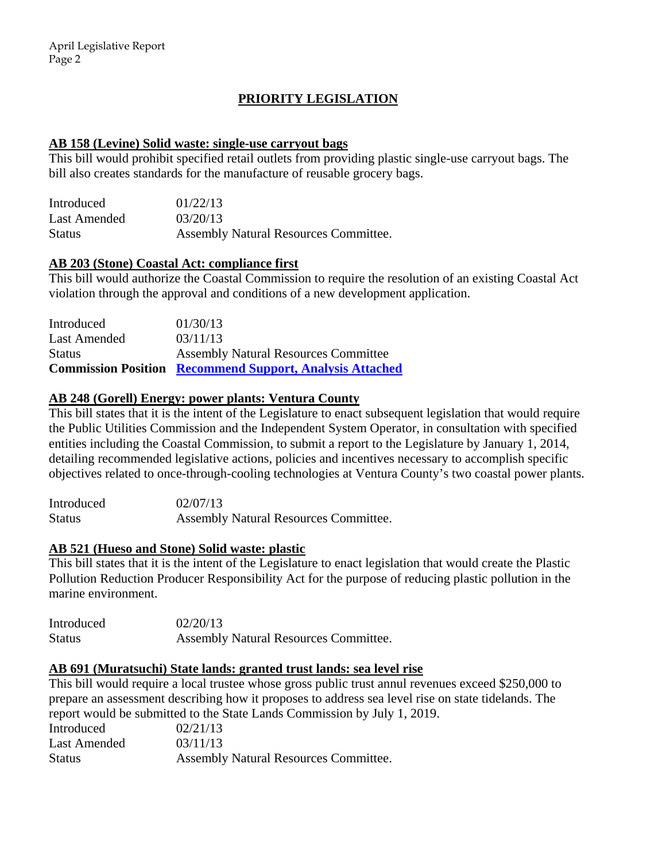# **PRIORITY LEGISLATION**

## **AB 158 (Levine) Solid waste: single-use carryout bags**

This bill would prohibit specified retail outlets from providing plastic single-use carryout bags. The bill also creates standards for the manufacture of reusable grocery bags.

| Introduced    | 01/22/13                              |
|---------------|---------------------------------------|
| Last Amended  | 03/20/13                              |
| <b>Status</b> | Assembly Natural Resources Committee. |

## **AB 203 (Stone) Coastal Act: compliance first**

This bill would authorize the Coastal Commission to require the resolution of an existing Coastal Act violation through the approval and conditions of a new development application.

|               | <b>Commission Position Recommend Support, Analysis Attached</b> |
|---------------|-----------------------------------------------------------------|
| <b>Status</b> | <b>Assembly Natural Resources Committee</b>                     |
| Last Amended  | 03/11/13                                                        |
| Introduced    | 01/30/13                                                        |

# **AB 248 (Gorell) Energy: power plants: Ventura County**

This bill states that it is the intent of the Legislature to enact subsequent legislation that would require the Public Utilities Commission and the Independent System Operator, in consultation with specified entities including the Coastal Commission, to submit a report to the Legislature by January 1, 2014, detailing recommended legislative actions, policies and incentives necessary to accomplish specific objectives related to once-through-cooling technologies at Ventura County's two coastal power plants.

Introduced 02/07/13 Status Assembly Natural Resources Committee.

## **AB 521 (Hueso and Stone) Solid waste: plastic**

This bill states that it is the intent of the Legislature to enact legislation that would create the Plastic Pollution Reduction Producer Responsibility Act for the purpose of reducing plastic pollution in the marine environment.

| Introduced    | 02/20/13                              |
|---------------|---------------------------------------|
| <b>Status</b> | Assembly Natural Resources Committee. |

## **AB 691 (Muratsuchi) State lands: granted trust lands: sea level rise**

This bill would require a local trustee whose gross public trust annul revenues exceed \$250,000 to prepare an assessment describing how it proposes to address sea level rise on state tidelands. The report would be submitted to the State Lands Commission by July 1, 2019. Introduced 02/21/13 Last Amended 03/11/13 Status Assembly Natural Resources Committee.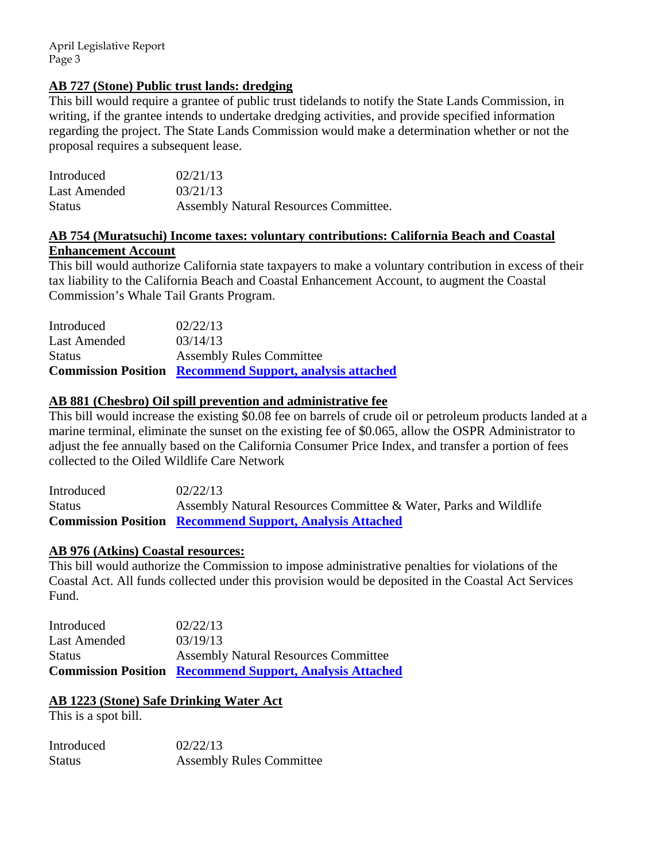April Legislative Report Page 3

## **AB 727 (Stone) Public trust lands: dredging**

This bill would require a grantee of public trust tidelands to notify the State Lands Commission, in writing, if the grantee intends to undertake dredging activities, and provide specified information regarding the project. The State Lands Commission would make a determination whether or not the proposal requires a subsequent lease.

| Introduced    | 02/21/13                              |
|---------------|---------------------------------------|
| Last Amended  | 03/21/13                              |
| <b>Status</b> | Assembly Natural Resources Committee. |

## **AB 754 (Muratsuchi) Income taxes: voluntary contributions: California Beach and Coastal Enhancement Account**

This bill would authorize California state taxpayers to make a voluntary contribution in excess of their tax liability to the California Beach and Coastal Enhancement Account, to augment the Coastal Commission's Whale Tail Grants Program.

|               | <b>Commission Position Recommend Support, analysis attached</b> |
|---------------|-----------------------------------------------------------------|
| <b>Status</b> | <b>Assembly Rules Committee</b>                                 |
| Last Amended  | 03/14/13                                                        |
| Introduced    | 02/22/13                                                        |

## **AB 881 (Chesbro) Oil spill prevention and administrative fee**

This bill would increase the existing \$0.08 fee on barrels of crude oil or petroleum products landed at a marine terminal, eliminate the sunset on the existing fee of \$0.065, allow the OSPR Administrator to adjust the fee annually based on the California Consumer Price Index, and transfer a portion of fees collected to the Oiled Wildlife Care Network

| Introduced | 02/22/13                                                         |
|------------|------------------------------------------------------------------|
| Status     | Assembly Natural Resources Committee & Water, Parks and Wildlife |
|            | <b>Commission Position Recommend Support, Analysis Attached</b>  |

## **AB 976 (Atkins) Coastal resources:**

This bill would authorize the Commission to impose administrative penalties for violations of the Coastal Act. All funds collected under this provision would be deposited in the Coastal Act Services Fund.

| Introduced          | 02/22/13                                                        |
|---------------------|-----------------------------------------------------------------|
| <b>Last Amended</b> | 03/19/13                                                        |
| <b>Status</b>       | <b>Assembly Natural Resources Committee</b>                     |
|                     | <b>Commission Position Recommend Support, Analysis Attached</b> |

# **AB 1223 (Stone) Safe Drinking Water Act**

This is a spot bill.

| Introduced | 02/22/13                        |
|------------|---------------------------------|
| Status     | <b>Assembly Rules Committee</b> |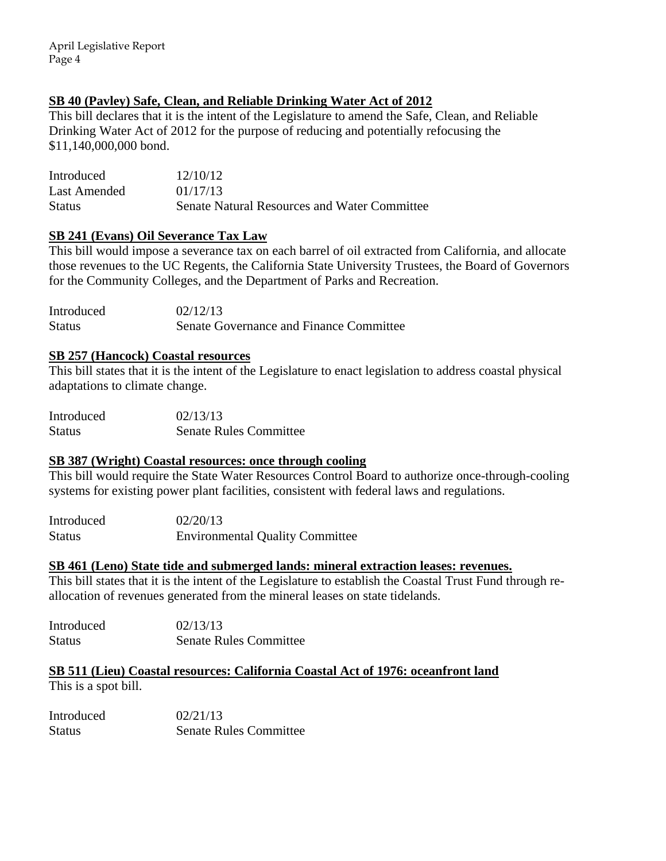April Legislative Report Page 4

# **SB 40 (Pavley) Safe, Clean, and Reliable Drinking Water Act of 2012**

This bill declares that it is the intent of the Legislature to amend the Safe, Clean, and Reliable Drinking Water Act of 2012 for the purpose of reducing and potentially refocusing the \$11,140,000,000 bond.

| Introduced    | 12/10/12                                            |
|---------------|-----------------------------------------------------|
| Last Amended  | 01/17/13                                            |
| <b>Status</b> | <b>Senate Natural Resources and Water Committee</b> |

## **SB 241 (Evans) Oil Severance Tax Law**

This bill would impose a severance tax on each barrel of oil extracted from California, and allocate those revenues to the UC Regents, the California State University Trustees, the Board of Governors for the Community Colleges, and the Department of Parks and Recreation.

Introduced 02/12/13 Status Senate Governance and Finance Committee

## **SB 257 (Hancock) Coastal resources**

This bill states that it is the intent of the Legislature to enact legislation to address coastal physical adaptations to climate change.

| Introduced    | 02/13/13                      |
|---------------|-------------------------------|
| <b>Status</b> | <b>Senate Rules Committee</b> |

## **SB 387 (Wright) Coastal resources: once through cooling**

This bill would require the State Water Resources Control Board to authorize once-through-cooling systems for existing power plant facilities, consistent with federal laws and regulations.

Introduced 02/20/13 Status Environmental Quality Committee

## **SB 461 (Leno) State tide and submerged lands: mineral extraction leases: revenues.**

This bill states that it is the intent of the Legislature to establish the Coastal Trust Fund through reallocation of revenues generated from the mineral leases on state tidelands.

Introduced 02/13/13 Status Senate Rules Committee

# **SB 511 (Lieu) Coastal resources: California Coastal Act of 1976: oceanfront land**

This is a spot bill.

Introduced 02/21/13 Status Senate Rules Committee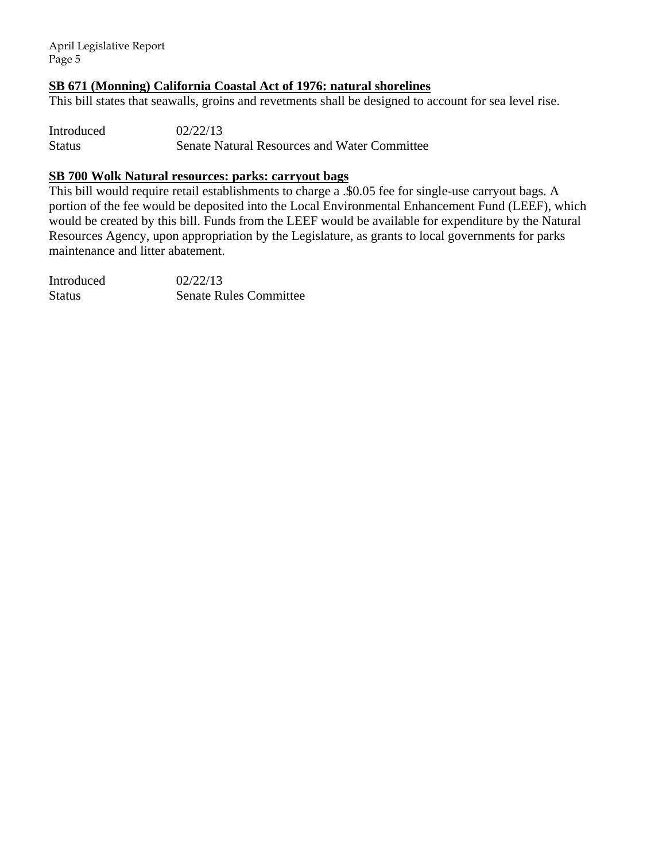April Legislative Report Page 5

## **SB 671 (Monning) California Coastal Act of 1976: natural shorelines**

This bill states that seawalls, groins and revetments shall be designed to account for sea level rise.

Introduced 02/22/13 Status Senate Natural Resources and Water Committee

## **SB 700 Wolk Natural resources: parks: carryout bags**

This bill would require retail establishments to charge a .\$0.05 fee for single-use carryout bags. A portion of the fee would be deposited into the Local Environmental Enhancement Fund (LEEF), which would be created by this bill. Funds from the LEEF would be available for expenditure by the Natural Resources Agency, upon appropriation by the Legislature, as grants to local governments for parks maintenance and litter abatement.

Introduced 02/22/13 Status Senate Rules Committee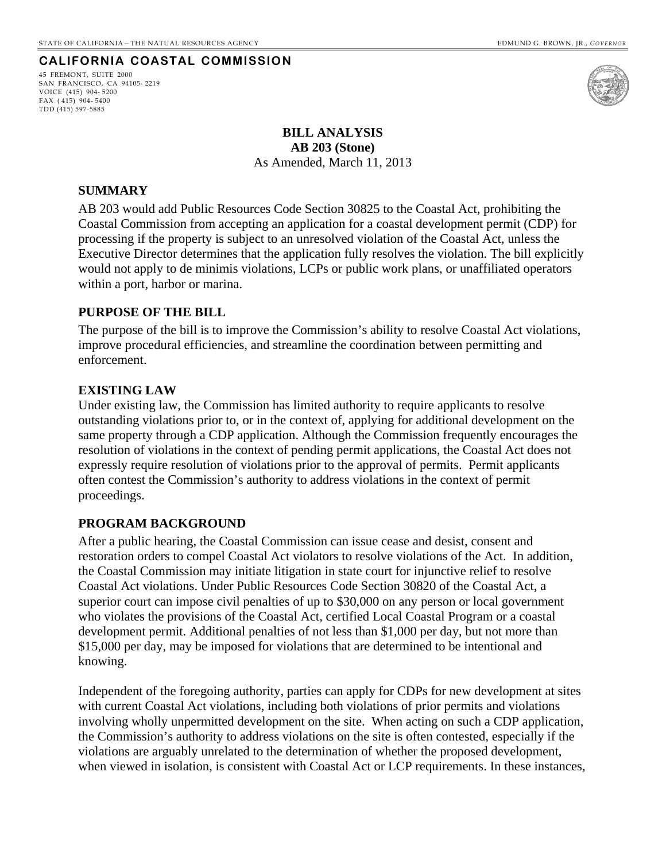## **CALIFORNIA COASTAL COMMISSION**

<span id="page-5-0"></span>45 FREMONT, SUITE 2000 SAN FRANCISCO, CA 94105- 2219 VOICE (415) 904- 5200 FAX ( 415) 904- 5400 TDD (415) 597-5885



**BILL ANALYSIS AB 203 (Stone)**  As Amended, March 11, 2013

#### **SUMMARY**

AB 203 would add Public Resources Code Section 30825 to the Coastal Act, prohibiting the Coastal Commission from accepting an application for a coastal development permit (CDP) for processing if the property is subject to an unresolved violation of the Coastal Act, unless the Executive Director determines that the application fully resolves the violation. The bill explicitly would not apply to de minimis violations, LCPs or public work plans, or unaffiliated operators within a port, harbor or marina.

## **PURPOSE OF THE BILL**

The purpose of the bill is to improve the Commission's ability to resolve Coastal Act violations, improve procedural efficiencies, and streamline the coordination between permitting and enforcement.

## **EXISTING LAW**

Under existing law, the Commission has limited authority to require applicants to resolve outstanding violations prior to, or in the context of, applying for additional development on the same property through a CDP application. Although the Commission frequently encourages the resolution of violations in the context of pending permit applications, the Coastal Act does not expressly require resolution of violations prior to the approval of permits. Permit applicants often contest the Commission's authority to address violations in the context of permit proceedings.

## **PROGRAM BACKGROUND**

After a public hearing, the Coastal Commission can issue cease and desist, consent and restoration orders to compel Coastal Act violators to resolve violations of the Act. In addition, the Coastal Commission may initiate litigation in state court for injunctive relief to resolve Coastal Act violations. Under Public Resources Code Section 30820 of the Coastal Act, a superior court can impose civil penalties of up to \$30,000 on any person or local government who violates the provisions of the Coastal Act, certified Local Coastal Program or a coastal development permit. Additional penalties of not less than \$1,000 per day, but not more than \$15,000 per day, may be imposed for violations that are determined to be intentional and knowing.

Independent of the foregoing authority, parties can apply for CDPs for new development at sites with current Coastal Act violations, including both violations of prior permits and violations involving wholly unpermitted development on the site. When acting on such a CDP application, the Commission's authority to address violations on the site is often contested, especially if the violations are arguably unrelated to the determination of whether the proposed development, when viewed in isolation, is consistent with Coastal Act or LCP requirements. In these instances,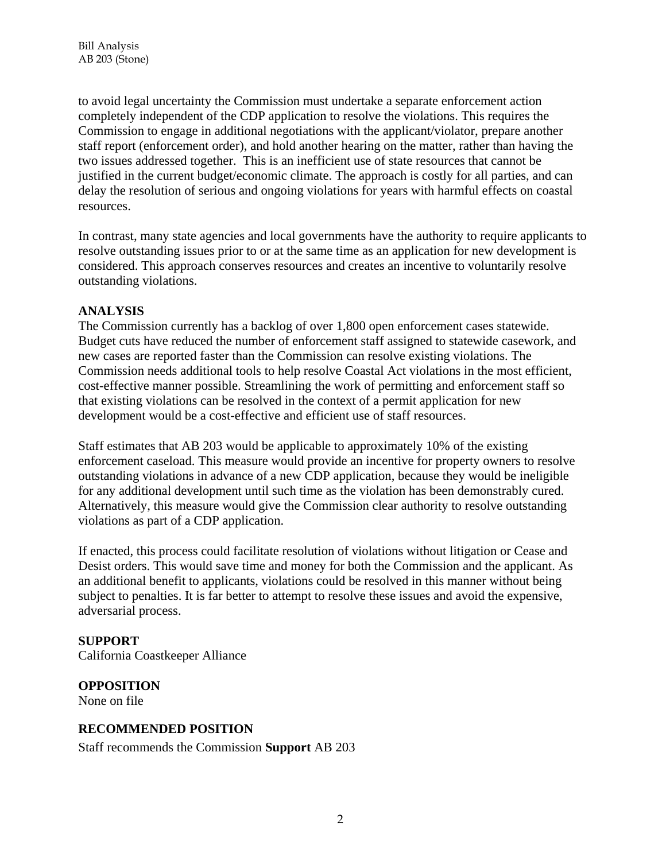to avoid legal uncertainty the Commission must undertake a separate enforcement action completely independent of the CDP application to resolve the violations. This requires the Commission to engage in additional negotiations with the applicant/violator, prepare another staff report (enforcement order), and hold another hearing on the matter, rather than having the two issues addressed together. This is an inefficient use of state resources that cannot be justified in the current budget/economic climate. The approach is costly for all parties, and can delay the resolution of serious and ongoing violations for years with harmful effects on coastal resources.

In contrast, many state agencies and local governments have the authority to require applicants to resolve outstanding issues prior to or at the same time as an application for new development is considered. This approach conserves resources and creates an incentive to voluntarily resolve outstanding violations.

## **ANALYSIS**

The Commission currently has a backlog of over 1,800 open enforcement cases statewide. Budget cuts have reduced the number of enforcement staff assigned to statewide casework, and new cases are reported faster than the Commission can resolve existing violations. The Commission needs additional tools to help resolve Coastal Act violations in the most efficient, cost-effective manner possible. Streamlining the work of permitting and enforcement staff so that existing violations can be resolved in the context of a permit application for new development would be a cost-effective and efficient use of staff resources.

Staff estimates that AB 203 would be applicable to approximately 10% of the existing enforcement caseload. This measure would provide an incentive for property owners to resolve outstanding violations in advance of a new CDP application, because they would be ineligible for any additional development until such time as the violation has been demonstrably cured. Alternatively, this measure would give the Commission clear authority to resolve outstanding violations as part of a CDP application.

If enacted, this process could facilitate resolution of violations without litigation or Cease and Desist orders. This would save time and money for both the Commission and the applicant. As an additional benefit to applicants, violations could be resolved in this manner without being subject to penalties. It is far better to attempt to resolve these issues and avoid the expensive, adversarial process.

## **SUPPORT**

California Coastkeeper Alliance

# **OPPOSITION**

None on file

# **RECOMMENDED POSITION**

Staff recommends the Commission **Support** AB 203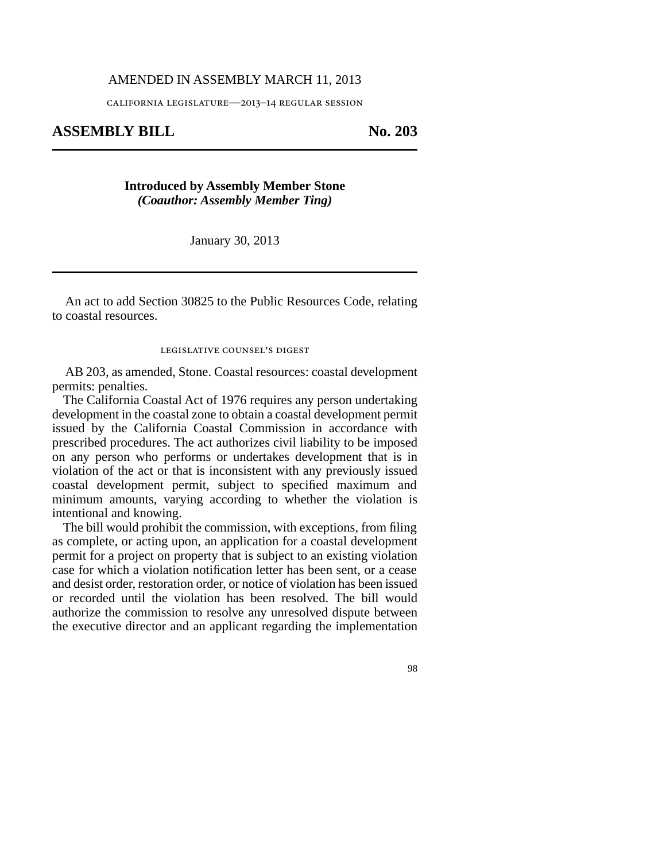#### AMENDED IN ASSEMBLY MARCH 11, 2013

california legislature—2013–14 regular session

## ASSEMBLY BILL No. 203

## **Introduced by Assembly Member Stone** *(Coauthor: Assembly Member Ting)*

January 30, 2013

An act to add Section 30825 to the Public Resources Code, relating to coastal resources.

#### legislative counsel's digest

AB 203, as amended, Stone. Coastal resources: coastal development permits: penalties.

The California Coastal Act of 1976 requires any person undertaking development in the coastal zone to obtain a coastal development permit issued by the California Coastal Commission in accordance with prescribed procedures. The act authorizes civil liability to be imposed on any person who performs or undertakes development that is in violation of the act or that is inconsistent with any previously issued coastal development permit, subject to specified maximum and minimum amounts, varying according to whether the violation is intentional and knowing.

The bill would prohibit the commission, with exceptions, from filing as complete, or acting upon, an application for a coastal development permit for a project on property that is subject to an existing violation case for which a violation notification letter has been sent, or a cease and desist order, restoration order, or notice of violation has been issued or recorded until the violation has been resolved. The bill would authorize the commission to resolve any unresolved dispute between the executive director and an applicant regarding the implementation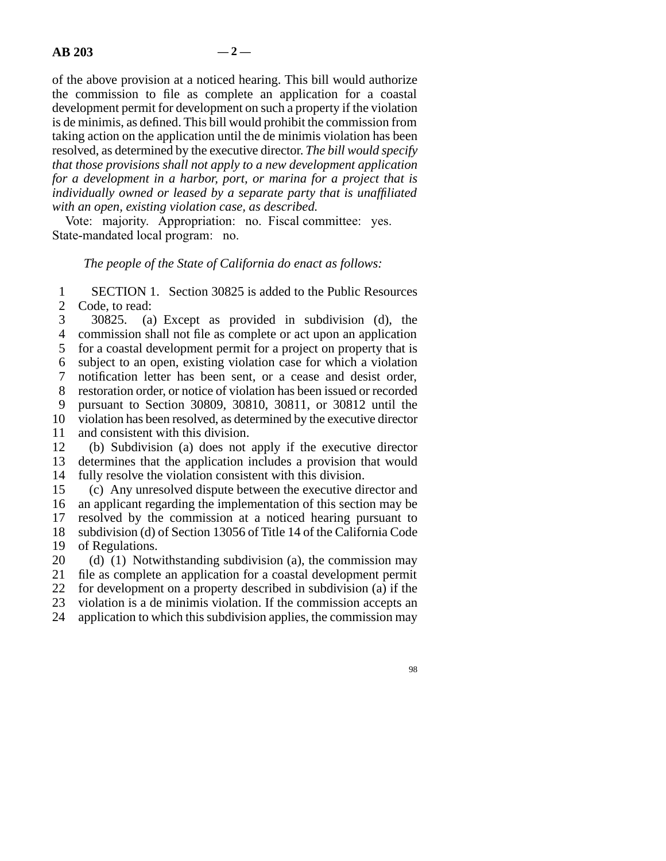of the above provision at a noticed hearing. This bill would authorize the commission to file as complete an application for a coastal development permit for development on such a property if the violation is de minimis, as defined. This bill would prohibit the commission from taking action on the application until the de minimis violation has been resolved, as determined by the executive director. *The bill would specify that those provisions shall not apply to a new development application for a development in a harbor, port, or marina for a project that is individually owned or leased by a separate party that is unaffiliated with an open, existing violation case, as described.*

Vote: majority. Appropriation: no. Fiscal committee: yes. State-mandated local program: no.

*The people of the State of California do enact as follows:*

1 SECTION 1. Section 30825 is added to the Public Resources<br>2 Code. to read: Code, to read:

3 30825. (a) Except as provided in subdivision (d), the 4 commission shall not file as complete or act upon an application 5 for a coastal development permit for a project on property that is line 6 subject to an open, existing violation case for which a violation 7 notification letter has been sent, or a cease and desist order, 8 restoration order, or notice of violation has been issued or recorded line 9 pursuant to Section 30809, 30810, 30811, or 30812 until the 10 violation has been resolved, as determined by the executive director 11 and consistent with this division.

12 (b) Subdivision (a) does not apply if the executive director

13 determines that the application includes a provision that would 14 fully resolve the violation consistent with this division.

15 (c) Any unresolved dispute between the executive director and 16 an applicant regarding the implementation of this section may be 17 resolved by the commission at a noticed hearing pursuant to 18 subdivision (d) of Section 13056 of Title 14 of the California Code 19 of Regulations.

20 (d) (1) Notwithstanding subdivision (a), the commission may 21 file as complete an application for a coastal development permit 22 for development on a property described in subdivision (a) if the 23 violation is a de minimis violation. If the commission accepts an

24 application to which this subdivision applies, the commission may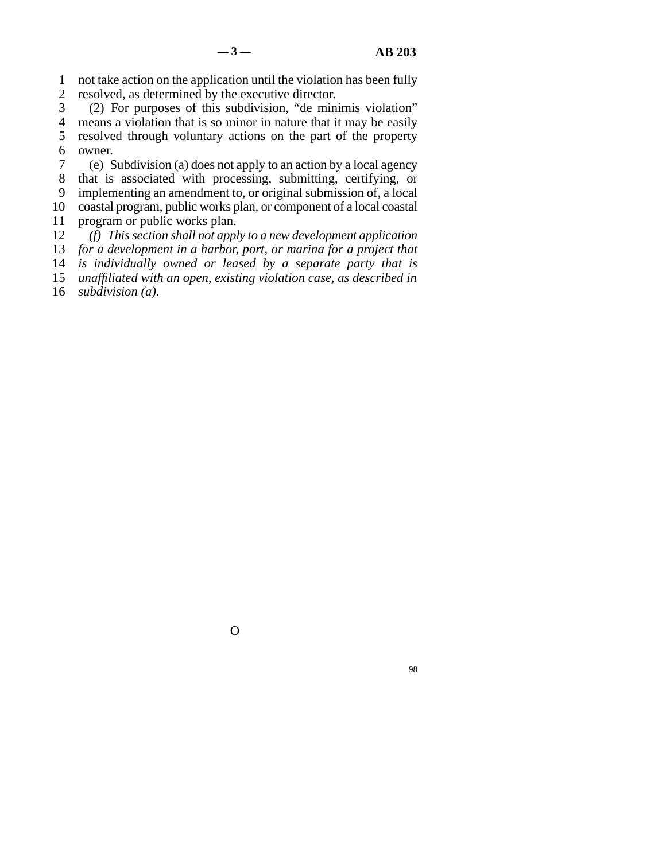line 1 not take action on the application until the violation has been fully

2 resolved, as determined by the executive director.<br>3 (2) For purposes of this subdivision, "de min  $(2)$  For purposes of this subdivision, "de minimis violation" 4 means a violation that is so minor in nature that it may be easily 5 resolved through voluntary actions on the part of the property 6 owner.

 line 7 (e) Subdivision (a) does not apply to an action by a local agency 8 that is associated with processing, submitting, certifying, or 9 implementing an amendment to, or original submission of, a local 10 coastal program, public works plan, or component of a local coastal

11 program or public works plan.<br>12 (f) This section shall not app. line 12 *(f) This section shall not apply to a new development application* 13 *for a development in a harbor, port, or marina for a project that* 14 *is individually owned or leased by a separate party that is* 

15 *unaffiliated with an open, existing violation case, as described in* 

16 *subdivision (a).* 

O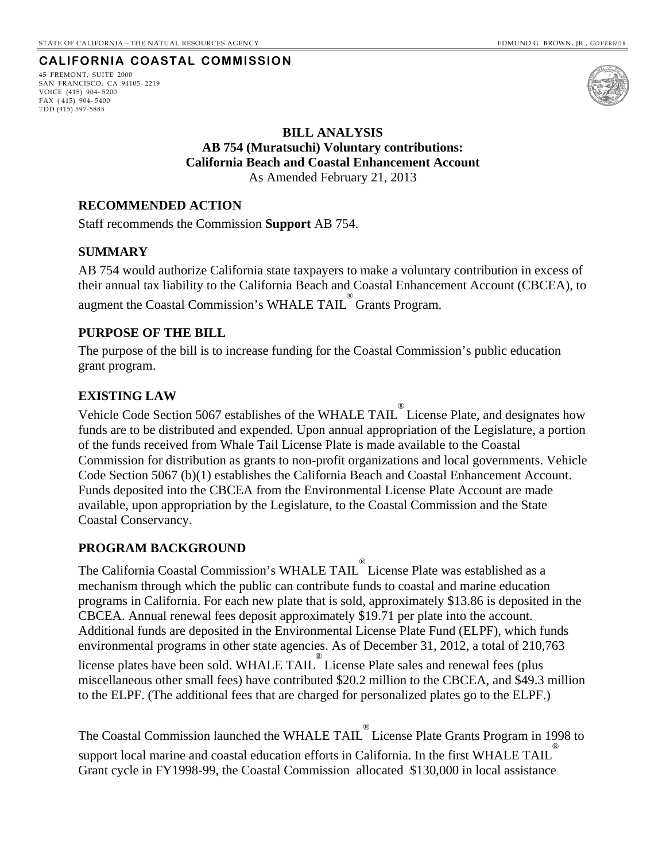## **CALIFORNIA COASTAL COMMISSION**

<span id="page-10-0"></span>45 FREMONT, SUITE 2000 SAN FRANCISCO, CA 94105- 2219 VOICE (415) 904- 5200 FAX ( 415) 904- 5400 TDD (415) 597-5885



## **BILL ANALYSIS AB 754 (Muratsuchi) Voluntary contributions: California Beach and Coastal Enhancement Account**  As Amended February 21, 2013

## **RECOMMENDED ACTION**

Staff recommends the Commission **Support** AB 754.

## **SUMMARY**

AB 754 would authorize California state taxpayers to make a voluntary contribution in excess of their annual tax liability to the California Beach and Coastal Enhancement Account (CBCEA), to augment the Coastal Commission's WHALE TAIL ® Grants Program.

## **PURPOSE OF THE BILL**

The purpose of the bill is to increase funding for the Coastal Commission's public education grant program.

## **EXISTING LAW**

Vehicle Code Section 5067 establishes of the WHALE TAIL<sup>®</sup> License Plate, and designates how funds are to be distributed and expended. Upon annual appropriation of the Legislature, a portion of the funds received from Whale Tail License Plate is made available to the Coastal Commission for distribution as grants to non-profit organizations and local governments. Vehicle Code Section 5067 (b)(1) establishes the California Beach and Coastal Enhancement Account. Funds deposited into the CBCEA from the Environmental License Plate Account are made available, upon appropriation by the Legislature, to the Coastal Commission and the State Coastal Conservancy.

## **PROGRAM BACKGROUND**

The California Coastal Commission's WHALE TAIL ® License Plate was established as a mechanism through which the public can contribute funds to coastal and marine education programs in California. For each new plate that is sold, approximately \$13.86 is deposited in the CBCEA. Annual renewal fees deposit approximately \$19.71 per plate into the account. Additional funds are deposited in the Environmental License Plate Fund (ELPF), which funds environmental programs in other state agencies. As of December 31, 2012, a total of 210,763 license plates have been sold. WHALE TAIL ® License Plate sales and renewal fees (plus miscellaneous other small fees) have contributed \$20.2 million to the CBCEA, and \$49.3 million

The Coastal Commission launched the WHALE TAIL ® License Plate Grants Program in 1998 to support local marine and coastal education efforts in California. In the first WHALE TAIL ®

Grant cycle in FY1998-99, the Coastal Commission allocated \$130,000 in local assistance

to the ELPF. (The additional fees that are charged for personalized plates go to the ELPF.)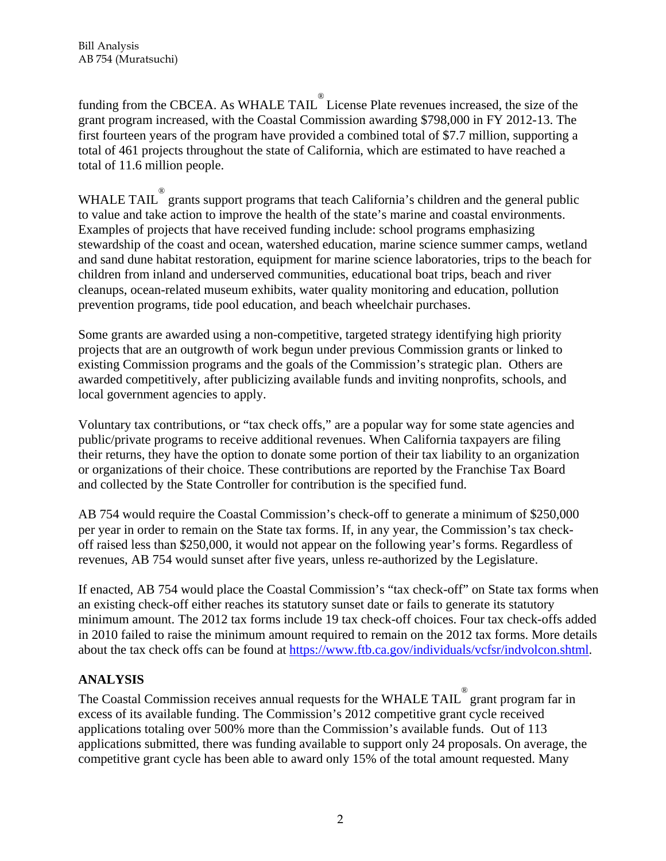funding from the CBCEA. As WHALE TAIL License Plate revenues increased, the size of the grant program increased, with the Coastal Commission awarding \$798,000 in FY 2012-13. The first fourteen years of the program have provided a combined total of \$7.7 million, supporting a total of 461 projects throughout the state of California, which are estimated to have reached a total of 11.6 million people.

WHALE TAIL  $^{\circ}$  grants support programs that teach California's children and the general public to value and take action to improve the health of the state's marine and coastal environments. Examples of projects that have received funding include: school programs emphasizing stewardship of the coast and ocean, watershed education, marine science summer camps, wetland and sand dune habitat restoration, equipment for marine science laboratories, trips to the beach for children from inland and underserved communities, educational boat trips, beach and river cleanups, ocean-related museum exhibits, water quality monitoring and education, pollution prevention programs, tide pool education, and beach wheelchair purchases.

Some grants are awarded using a non-competitive, targeted strategy identifying high priority projects that are an outgrowth of work begun under previous Commission grants or linked to existing Commission programs and the goals of the Commission's strategic plan. Others are awarded competitively, after publicizing available funds and inviting nonprofits, schools, and local government agencies to apply.

Voluntary tax contributions, or "tax check offs," are a popular way for some state agencies and public/private programs to receive additional revenues. When California taxpayers are filing their returns, they have the option to donate some portion of their tax liability to an organization or organizations of their choice. These contributions are reported by the Franchise Tax Board and collected by the State Controller for contribution is the specified fund.

AB 754 would require the Coastal Commission's check-off to generate a minimum of \$250,000 per year in order to remain on the State tax forms. If, in any year, the Commission's tax checkoff raised less than \$250,000, it would not appear on the following year's forms. Regardless of revenues, AB 754 would sunset after five years, unless re-authorized by the Legislature.

If enacted, AB 754 would place the Coastal Commission's "tax check-off" on State tax forms when an existing check-off either reaches its statutory sunset date or fails to generate its statutory minimum amount. The 2012 tax forms include 19 tax check-off choices. Four tax check-offs added in 2010 failed to raise the minimum amount required to remain on the 2012 tax forms. More details about the tax check offs can be found at [https://www.ftb.ca.gov/individuals/vcfsr/indvolcon.shtml.](https://www.ftb.ca.gov/individuals/vcfsr/indvolcon.shtml)

# **ANALYSIS**

The Coastal Commission receives annual requests for the WHALE TAIL  $^{\circ}$  grant program far in excess of its available funding. The Commission's 2012 competitive grant cycle received applications totaling over 500% more than the Commission's available funds. Out of 113 applications submitted, there was funding available to support only 24 proposals. On average, the competitive grant cycle has been able to award only 15% of the total amount requested. Many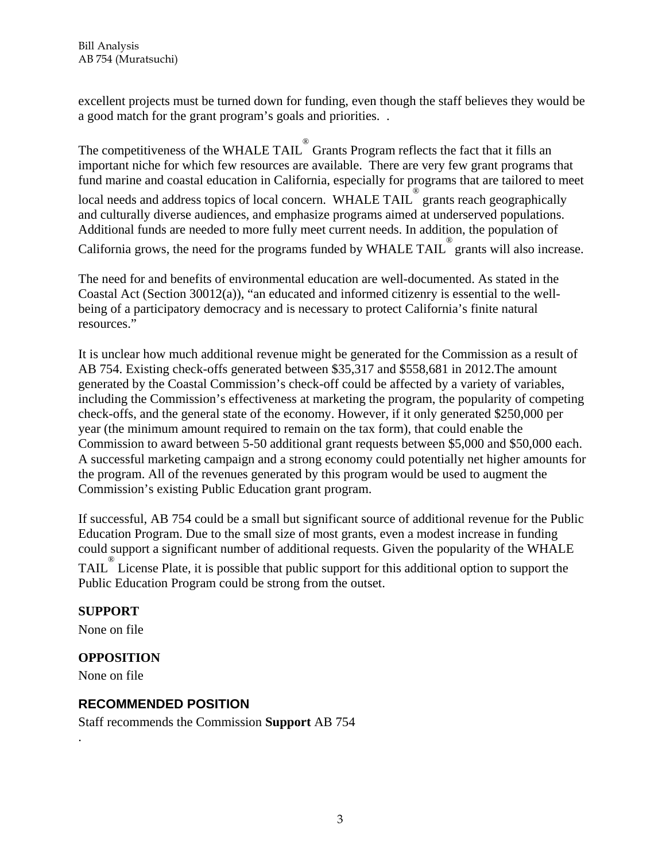excellent projects must be turned down for funding, even though the staff believes they would be a good match for the grant program's goals and priorities. .

The competitiveness of the WHALE TAIL $^{\circledast}$  Grants Program reflects the fact that it fills an important niche for which few resources are available. There are very few grant programs that fund marine and coastal education in California, especially for programs that are tailored to meet local needs and address topics of local concern. WHALE TAIL grants reach geographically and culturally diverse audiences, and emphasize programs aimed at underserved populations. Additional funds are needed to more fully meet current needs. In addition, the population of California grows, the need for the programs funded by WHALE TAIL grants will also increase.

The need for and benefits of environmental education are well-documented. As stated in the Coastal Act (Section 30012(a)), "an educated and informed citizenry is essential to the wellbeing of a participatory democracy and is necessary to protect California's finite natural resources."

It is unclear how much additional revenue might be generated for the Commission as a result of AB 754. Existing check-offs generated between \$35,317 and \$558,681 in 2012.The amount generated by the Coastal Commission's check-off could be affected by a variety of variables, including the Commission's effectiveness at marketing the program, the popularity of competing check-offs, and the general state of the economy. However, if it only generated \$250,000 per year (the minimum amount required to remain on the tax form), that could enable the Commission to award between 5-50 additional grant requests between \$5,000 and \$50,000 each. A successful marketing campaign and a strong economy could potentially net higher amounts for the program. All of the revenues generated by this program would be used to augment the Commission's existing Public Education grant program.

If successful, AB 754 could be a small but significant source of additional revenue for the Public Education Program. Due to the small size of most grants, even a modest increase in funding could support a significant number of additional requests. Given the popularity of the WHALE TAIL<sup>®</sup> License Plate, it is possible that public support for this additional option to support the Public Education Program could be strong from the outset.

# **SUPPORT**

None on file

# **OPPOSITION**

None on file

.

# **RECOMMENDED POSITION**

Staff recommends the Commission **Support** AB 754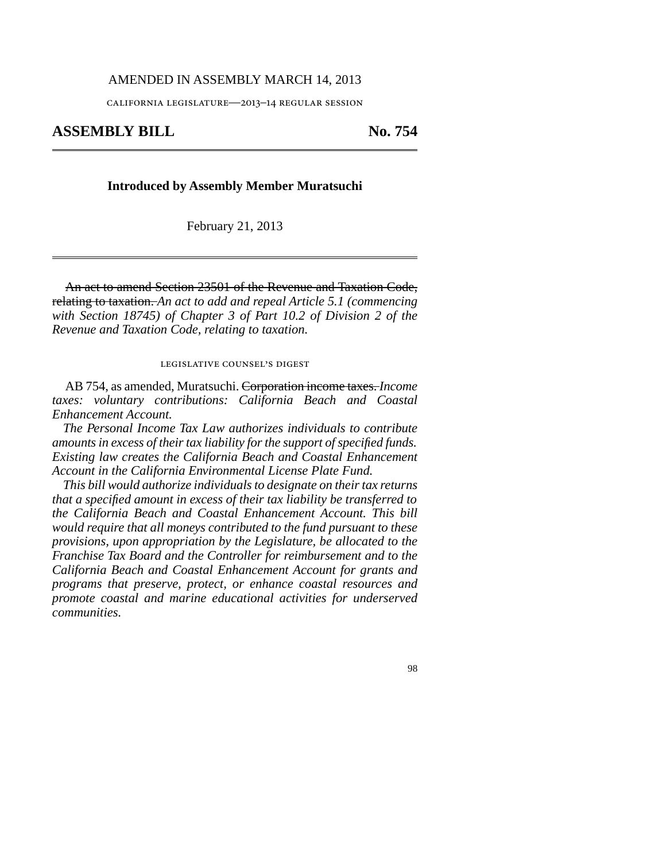#### AMENDED IN ASSEMBLY MARCH 14, 2013

california legislature—2013–14 regular session

## **ASSEMBLY BILL No. 754**

#### **Introduced by Assembly Member Muratsuchi**

February 21, 2013

An act to amend Section 23501 of the Revenue and Taxation Code, relating to taxation. *An act to add and repeal Article 5.1 (commencing with Section 18745) of Chapter 3 of Part 10.2 of Division 2 of the Revenue and Taxation Code, relating to taxation.*

#### legislative counsel's digest

AB 754, as amended, Muratsuchi. Corporation income taxes. *Income taxes: voluntary contributions: California Beach and Coastal Enhancement Account.*

*The Personal Income Tax Law authorizes individuals to contribute amounts in excess of their tax liability for the support of specified funds. Existing law creates the California Beach and Coastal Enhancement Account in the California Environmental License Plate Fund.*

*This bill would authorize individuals to designate on their tax returns that a specified amount in excess of their tax liability be transferred to the California Beach and Coastal Enhancement Account. This bill would require that all moneys contributed to the fund pursuant to these provisions, upon appropriation by the Legislature, be allocated to the Franchise Tax Board and the Controller for reimbursement and to the California Beach and Coastal Enhancement Account for grants and programs that preserve, protect, or enhance coastal resources and promote coastal and marine educational activities for underserved communities.*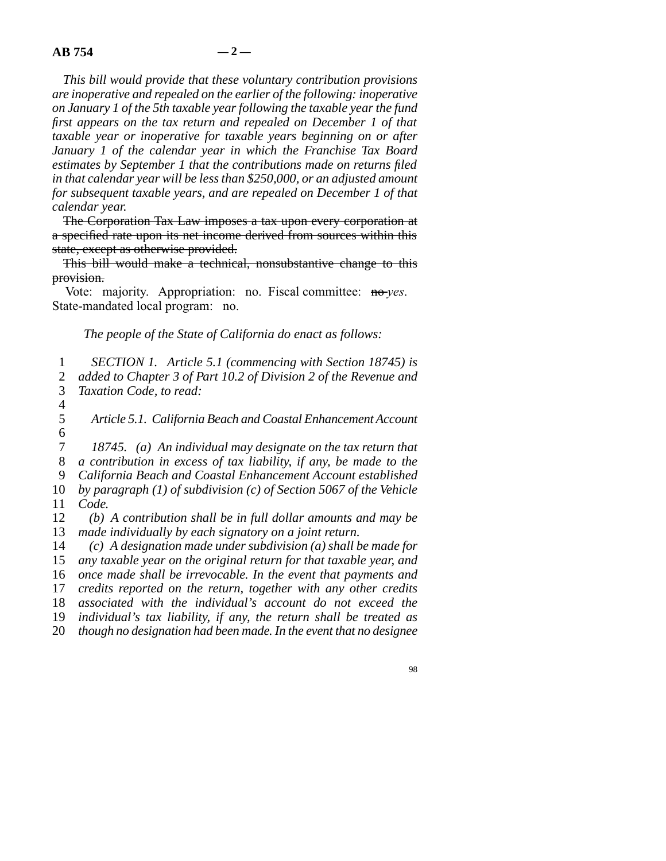*This bill would provide that these voluntary contribution provisions are inoperative and repealed on the earlier of the following: inoperative on January 1 of the 5th taxable year following the taxable year the fund first appears on the tax return and repealed on December 1 of that taxable year or inoperative for taxable years beginning on or after January 1 of the calendar year in which the Franchise Tax Board estimates by September 1 that the contributions made on returns filed in that calendar year will be less than \$250,000, or an adjusted amount for subsequent taxable years, and are repealed on December 1 of that calendar year.*

The Corporation Tax Law imposes a tax upon every corporation at a specified rate upon its net income derived from sources within this state, except as otherwise provided.

This bill would make a technical, nonsubstantive change to this provision.

Vote: majority. Appropriation: no. Fiscal committee: no-*yes*. State-mandated local program: no.

*The people of the State of California do enact as follows:*

1 *SECTION 1. Article 5.1 (commencing with Section 18745) is* 2 *added to Chapter 3 of Part 10.2 of Division 2 of the Revenue and* 3 *Taxation Code, to read:* 

 $\frac{4}{5}$ Article 5.1. California Beach and Coastal Enhancement Account  $\frac{6}{7}$ 

18745. (a) An individual may designate on the tax return that line 8 *a contribution in excess of tax liability, if any, be made to the* line 9 *California Beach and Coastal Enhancement Account established* 10 *by paragraph (1) of subdivision (c) of Section 5067 of the Vehicle* 11 *Code.* 12 (b) A contribution shall be in full dollar amounts and may be

13 made individually by each signatory on a joint return.

14 (c) A designation made under subdivision (a) shall be made for *any taxable year on the original return for that taxable year, and once made shall be irrevocable. In the event that payments and credits reported on the return, together with any other credits associated with the individual's account do not exceed the individual's tax liability, if any, the return shall be treated as though no designation had been made. In the event that no designee*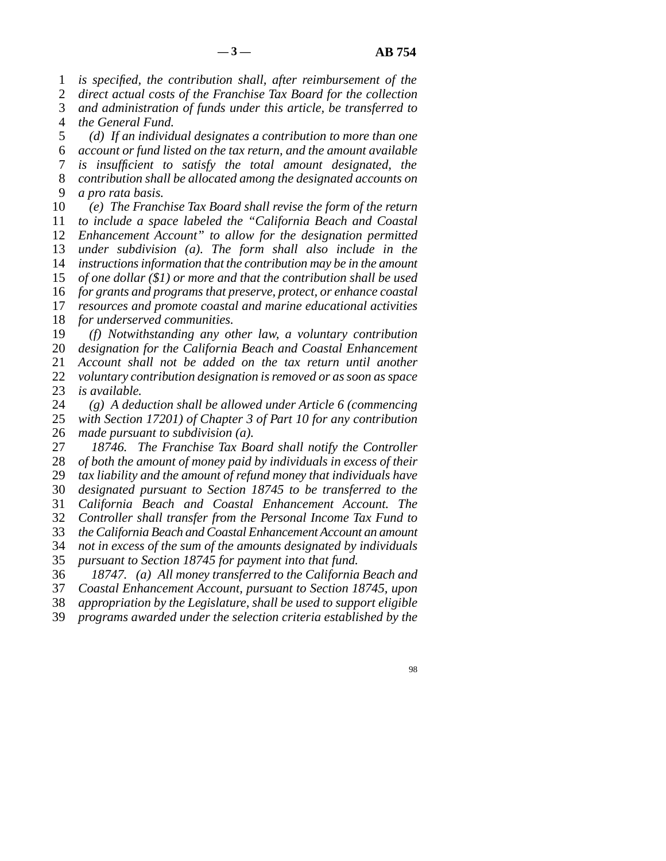1 *is specified, the contribution shall, after reimbursement of the* 

2 *direct actual costs of the Franchise Tax Board for the collection* 

 line 3 *and administration of funds under this article, be transferred to* 4 *the General Fund.* 

 line 5 *(d) If an individual designates a contribution to more than one* line 6 *account or fund listed on the tax return, and the amount available* line 7 *is insufficient to satisfy the total amount designated, the* line 8 *contribution shall be allocated among the designated accounts on* 9 *a pro rata basis.* 

 line 10 *(e) The Franchise Tax Board shall revise the form of the return to include a space labeled the "California Beach and Coastal Enhancement Account" to allow for the designation permitted under subdivision (a). The form shall also include in the instructions information that the contribution may be in the amount of one dollar (\$1) or more and that the contribution shall be used for grants and programs that preserve, protect, or enhance coastal resources and promote coastal and marine educational activities for underserved communities.* 19 (f) Notwithstanding any other law, a voluntary contribution *designation for the California Beach and Coastal Enhancement Account shall not be added on the tax return until another voluntary contribution designation is removed or as soon as space is available.* 

 line 24 *(g) A deduction shall be allowed under Article 6 (commencing* with Section 17201) of Chapter 3 of Part 10 for any contribution 26 *made pursuant to subdivision (a).* 

27 18746. The Franchise Tax Board shall notify the Controller 28 of both the amount of money paid by individuals in excess of their 29 tax liability and the amount of refund money that individuals have line 30 *designated pursuant to Section 18745 to be transferred to the* line 31 *California Beach and Coastal Enhancement Account. The* line 32 *Controller shall transfer from the Personal Income Tax Fund to* line 33 *the California Beach and Coastal Enhancement Account an amount* line 34 *not in excess of the sum of the amounts designated by individuals* 35 *pursuant to Section 18745 for payment into that fund.* line 36 *18747. (a) All money transferred to the California Beach and*

37 *Coastal Enhancement Account, pursuant to Section 18745, upon* 

38 *appropriation by the Legislature, shall be used to support eligible*<br>39 *programs awarded under the selection criteria established by the* programs awarded under the selection criteria established by the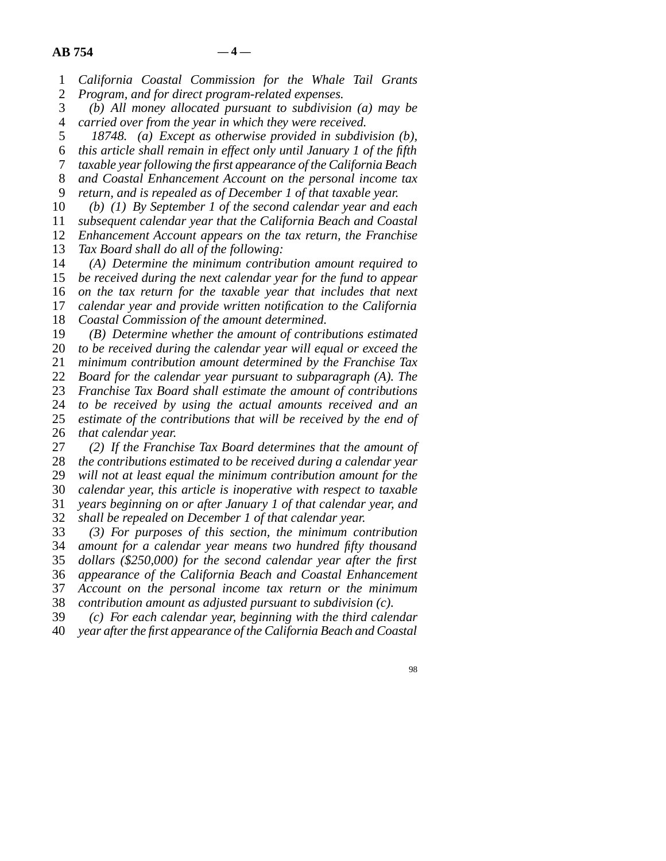line 1 *California Coastal Commission for the Whale Tail Grants*

2 *Program, and for direct program-related expenses.*<br>3 (b) All money allocated pursuant to subdivisio

(b) All money allocated pursuant to subdivision (a) may be line 4 *carried over from the year in which they were received.*

line 5 *18748. (a) Except as otherwise provided in subdivision (b),*

line 6 *this article shall remain in effect only until January 1 of the fifth*

line 7 *taxable year following the first appearance of the California Beach*

8 *and Coastal Enhancement Account on the personal income tax* line 9 *return, and is repealed as of December 1 of that taxable year.*

line 10 *(b) (1) By September 1 of the second calendar year and each*

11 *subsequent calendar year that the California Beach and Coastal* 

12 *Enhancement Account appears on the tax return, the Franchise* 

13 *Tax Board shall do all of the following:* 

14 (A) Determine the minimum contribution amount required to

15 *be received during the next calendar year for the fund to appear* 16 *on the tax return for the taxable year that includes that next* 

17 *calendar year and provide written notification to the California* 

18 *Coastal Commission of the amount determined.* 

19 (B) Determine whether the amount of contributions estimated

20 to be received during the calendar year will equal or exceed the

21 *minimum contribution amount determined by the Franchise Tax* 

22 *Board for the calendar year pursuant to subparagraph (A). The* 23 *Franchise Tax Board shall estimate the amount of contributions* 

24 *to be received by using the actual amounts received and an* 25 *estimate of the contributions that will be received by the end of* estimate of the contributions that will be received by the end of 26 *that calendar year.* 

27 (2) If the Franchise Tax Board determines that the amount of 28 *the contributions estimated to be received during a calendar year*  line 29 *will not at least equal the minimum contribution amount for the* 30 *calendar year, this article is inoperative with respect to taxable* 31 *years beginning on or after January 1 of that calendar year, and* 

line 32 *shall be repealed on December 1 of that calendar year.*

 line 33 *(3) For purposes of this section, the minimum contribution* 34 *amount for a calendar year means two hundred fifty thousand* 35 *dollars (\$250,000) for the second calendar year after the first*  line 36 *appearance of the California Beach and Coastal Enhancement* 37 *Account on the personal income tax return or the minimum* 

38 *contribution amount as adjusted pursuant to subdivision (c).*<br>39 (c) For each calendar year, beginning with the third calen (c) For each calendar year, beginning with the third calendar line 40 *year after the first appearance of the California Beach and Coastal*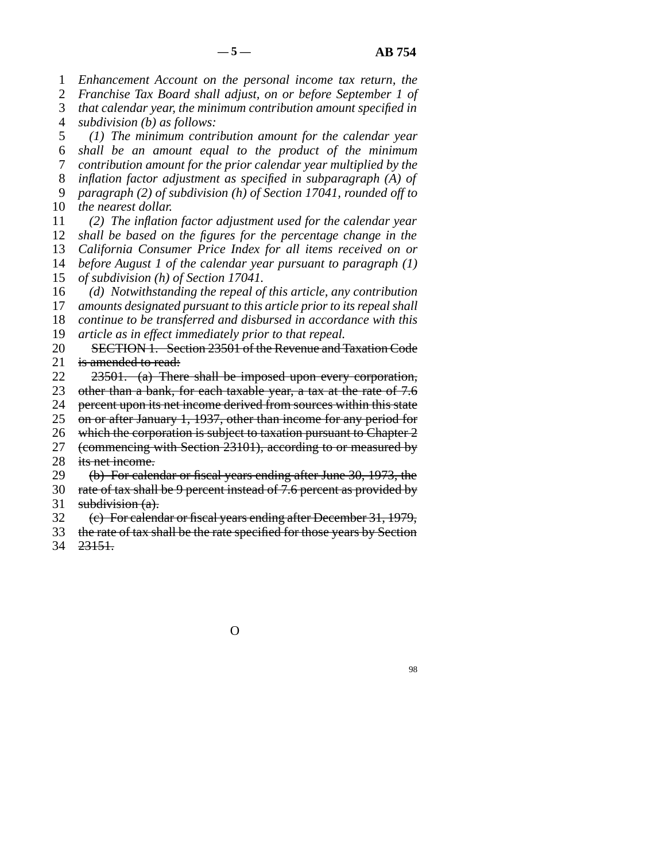1 *Enhancement Account on the personal income tax return, the* 

2 *Franchise Tax Board shall adjust, on or before September 1 of* 

 line 3 *that calendar year, the minimum contribution amount specified in* 4 *subdivision (b) as follows:* 

 line 5 *(1) The minimum contribution amount for the calendar year* line 6 *shall be an amount equal to the product of the minimum* 7 *contribution amount for the prior calendar year multiplied by the* 8 *inflation factor adjustment as specified in subparagraph (A) of* 

 line 9 *paragraph (2) of subdivision (h) of Section 17041, rounded off to* 10 *the nearest dollar.* 

 line 11 *(2) The inflation factor adjustment used for the calendar year shall be based on the figures for the percentage change in the California Consumer Price Index for all items received on or before August 1 of the calendar year pursuant to paragraph (1)* 

15 *of subdivision (h) of Section 17041.* 

16 (d) Notwithstanding the repeal of this article, any contribution

17 *amounts designated pursuant to this article prior to its repeal shall* 

18 *continue to be transferred and disbursed in accordance with this* 

19 *article as in effect immediately prior to that repeal.* 

20 SECTION 1. Section 23501 of the Revenue and Taxation Code 21 is amended to read:

22 23501. (a) There shall be imposed upon every corporation,

23 other than a bank, for each taxable year, a tax at the rate of 7.6

24 percent upon its net income derived from sources within this state<br>25 on or after January 1, 1937, other than income for any period for

on or after January 1, 1937, other than income for any period for

26 which the corporation is subject to taxation pursuant to Chapter  $2$ 27 (commencing with Section 23101), according to or measured by

28 its net income.

29 (b) For calendar or fiscal years ending after June 30, 1973, the

30 rate of tax shall be 9 percent instead of 7.6 percent as provided by

31 subdivision  $(a)$ .

line 32 (c) For calendar or fiscal years ending after December 31, 1979,

- 33 the rate of tax shall be the rate specified for those years by Section
- 34 23151.

O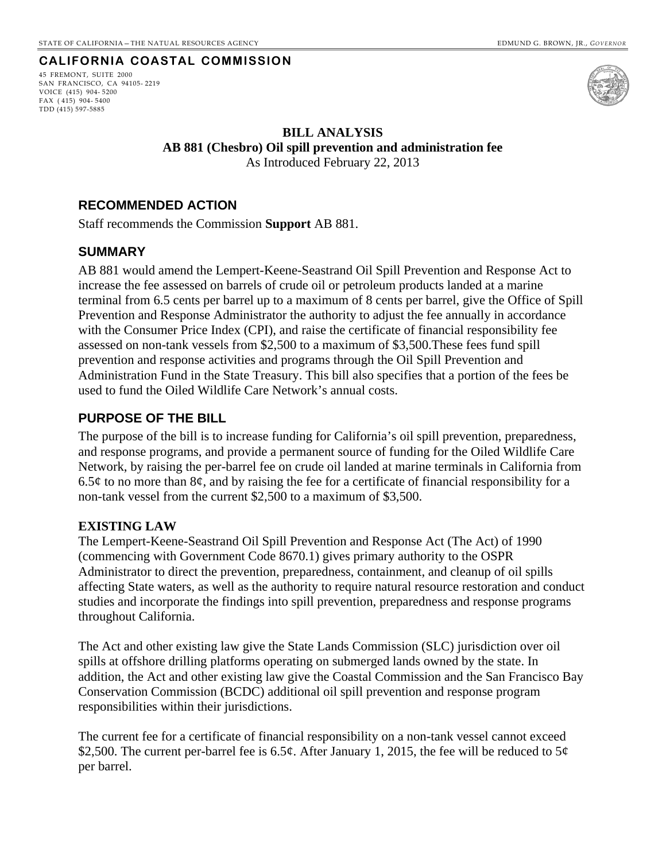## **CALIFORNIA COASTAL COMMISSION**

<span id="page-18-0"></span>45 FREMONT, SUITE 2000 SAN FRANCISCO, CA 94105- 2219 VOICE (415) 904- 5200 FAX ( 415) 904- 5400 TDD (415) 597-5885



## **BILL ANALYSIS AB 881 (Chesbro) Oil spill prevention and administration fee**  As Introduced February 22, 2013

## **RECOMMENDED ACTION**

Staff recommends the Commission **Support** AB 881.

## **SUMMARY**

AB 881 would amend the Lempert-Keene-Seastrand Oil Spill Prevention and Response Act to increase the fee assessed on barrels of crude oil or petroleum products landed at a marine terminal from 6.5 cents per barrel up to a maximum of 8 cents per barrel, give the Office of Spill Prevention and Response Administrator the authority to adjust the fee annually in accordance with the Consumer Price Index (CPI), and raise the certificate of financial responsibility fee assessed on non-tank vessels from \$2,500 to a maximum of \$3,500.These fees fund spill prevention and response activities and programs through the Oil Spill Prevention and Administration Fund in the State Treasury. This bill also specifies that a portion of the fees be used to fund the Oiled Wildlife Care Network's annual costs.

## **PURPOSE OF THE BILL**

The purpose of the bill is to increase funding for California's oil spill prevention, preparedness, and response programs, and provide a permanent source of funding for the Oiled Wildlife Care Network, by raising the per-barrel fee on crude oil landed at marine terminals in California from 6.5 $\phi$  to no more than 8 $\phi$ , and by raising the fee for a certificate of financial responsibility for a non-tank vessel from the current \$2,500 to a maximum of \$3,500.

#### **EXISTING LAW**

The Lempert-Keene-Seastrand Oil Spill Prevention and Response Act (The Act) of 1990 (commencing with Government Code 8670.1) gives primary authority to the OSPR Administrator to direct the prevention, preparedness, containment, and cleanup of oil spills affecting State waters, as well as the authority to require natural resource restoration and conduct studies and incorporate the findings into spill prevention, preparedness and response programs throughout California.

The Act and other existing law give the State Lands Commission (SLC) jurisdiction over oil spills at offshore drilling platforms operating on submerged lands owned by the state. In addition, the Act and other existing law give the Coastal Commission and the San Francisco Bay Conservation Commission (BCDC) additional oil spill prevention and response program responsibilities within their jurisdictions.

The current fee for a certificate of financial responsibility on a non-tank vessel cannot exceed \$2,500. The current per-barrel fee is 6.5¢. After January 1, 2015, the fee will be reduced to 5¢ per barrel.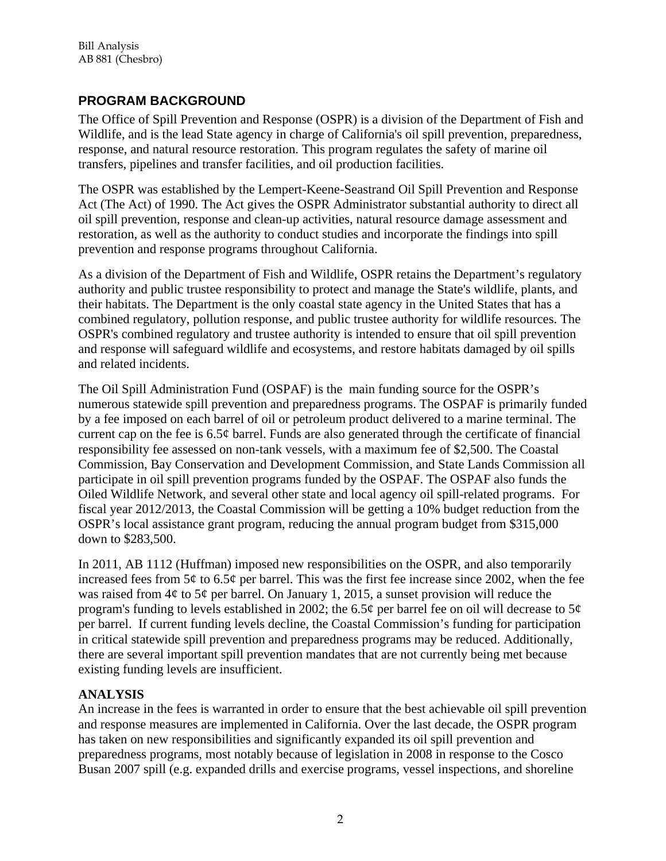# **PROGRAM BACKGROUND**

The Office of Spill Prevention and Response (OSPR) is a division of the Department of Fish and Wildlife, and is the lead State agency in charge of California's oil spill prevention, preparedness, response, and natural resource restoration. This program regulates the safety of marine oil transfers, pipelines and transfer facilities, and oil production facilities.

The OSPR was established by the Lempert-Keene-Seastrand Oil Spill Prevention and Response Act (The Act) of 1990. The Act gives the OSPR Administrator substantial authority to direct all oil spill prevention, response and clean-up activities, natural resource damage assessment and restoration, as well as the authority to conduct studies and incorporate the findings into spill prevention and response programs throughout California.

As a division of the Department of Fish and Wildlife, OSPR retains the Department's regulatory authority and public trustee responsibility to protect and manage the State's wildlife, plants, and their habitats. The Department is the only coastal state agency in the United States that has a combined regulatory, pollution response, and public trustee authority for wildlife resources. The OSPR's combined regulatory and trustee authority is intended to ensure that oil spill prevention and response will safeguard wildlife and ecosystems, and restore habitats damaged by oil spills and related incidents.

The Oil Spill Administration Fund (OSPAF) is the main funding source for the OSPR's numerous statewide spill prevention and preparedness programs. The OSPAF is primarily funded by a fee imposed on each barrel of oil or petroleum product delivered to a marine terminal. The current cap on the fee is  $6.5¢$  barrel. Funds are also generated through the certificate of financial responsibility fee assessed on non-tank vessels, with a maximum fee of \$2,500. The Coastal Commission, Bay Conservation and Development Commission, and State Lands Commission all participate in oil spill prevention programs funded by the OSPAF. The OSPAF also funds the Oiled Wildlife Network, and several other state and local agency oil spill-related programs. For fiscal year 2012/2013, the Coastal Commission will be getting a 10% budget reduction from the OSPR's local assistance grant program, reducing the annual program budget from \$315,000 down to \$283,500.

In 2011, AB 1112 (Huffman) imposed new responsibilities on the OSPR, and also temporarily increased fees from  $5¢$  to  $6.5¢$  per barrel. This was the first fee increase since 2002, when the fee was raised from  $4\phi$  to  $5\phi$  per barrel. On January 1, 2015, a sunset provision will reduce the program's funding to levels established in 2002; the 6.5 $\varphi$  per barrel fee on oil will decrease to 5 $\varphi$ per barrel. If current funding levels decline, the Coastal Commission's funding for participation in critical statewide spill prevention and preparedness programs may be reduced. Additionally, there are several important spill prevention mandates that are not currently being met because existing funding levels are insufficient.

# **ANALYSIS**

An increase in the fees is warranted in order to ensure that the best achievable oil spill prevention and response measures are implemented in California. Over the last decade, the OSPR program has taken on new responsibilities and significantly expanded its oil spill prevention and preparedness programs, most notably because of legislation in 2008 in response to the Cosco Busan 2007 spill (e.g. expanded drills and exercise programs, vessel inspections, and shoreline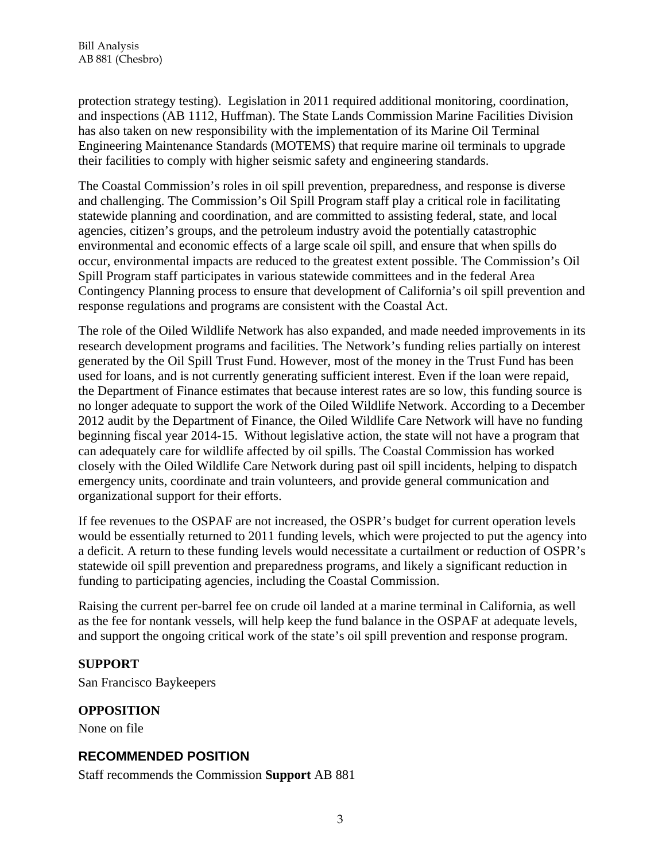protection strategy testing). Legislation in 2011 required additional monitoring, coordination, and inspections (AB 1112, Huffman). The State Lands Commission Marine Facilities Division has also taken on new responsibility with the implementation of its Marine Oil Terminal Engineering Maintenance Standards (MOTEMS) that require marine oil terminals to upgrade their facilities to comply with higher seismic safety and engineering standards.

The Coastal Commission's roles in oil spill prevention, preparedness, and response is diverse and challenging. The Commission's Oil Spill Program staff play a critical role in facilitating statewide planning and coordination, and are committed to assisting federal, state, and local agencies, citizen's groups, and the petroleum industry avoid the potentially catastrophic environmental and economic effects of a large scale oil spill, and ensure that when spills do occur, environmental impacts are reduced to the greatest extent possible. The Commission's Oil Spill Program staff participates in various statewide committees and in the federal Area Contingency Planning process to ensure that development of California's oil spill prevention and response regulations and programs are consistent with the Coastal Act.

The role of the Oiled Wildlife Network has also expanded, and made needed improvements in its research development programs and facilities. The Network's funding relies partially on interest generated by the Oil Spill Trust Fund. However, most of the money in the Trust Fund has been used for loans, and is not currently generating sufficient interest. Even if the loan were repaid, the Department of Finance estimates that because interest rates are so low, this funding source is no longer adequate to support the work of the Oiled Wildlife Network. According to a December 2012 audit by the Department of Finance, the Oiled Wildlife Care Network will have no funding beginning fiscal year 2014-15. Without legislative action, the state will not have a program that can adequately care for wildlife affected by oil spills. The Coastal Commission has worked closely with the Oiled Wildlife Care Network during past oil spill incidents, helping to dispatch emergency units, coordinate and train volunteers, and provide general communication and organizational support for their efforts.

If fee revenues to the OSPAF are not increased, the OSPR's budget for current operation levels would be essentially returned to 2011 funding levels, which were projected to put the agency into a deficit. A return to these funding levels would necessitate a curtailment or reduction of OSPR's statewide oil spill prevention and preparedness programs, and likely a significant reduction in funding to participating agencies, including the Coastal Commission.

Raising the current per-barrel fee on crude oil landed at a marine terminal in California, as well as the fee for nontank vessels, will help keep the fund balance in the OSPAF at adequate levels, and support the ongoing critical work of the state's oil spill prevention and response program.

# **SUPPORT**

San Francisco Baykeepers

# **OPPOSITION**

None on file

# **RECOMMENDED POSITION**

Staff recommends the Commission **Support** AB 881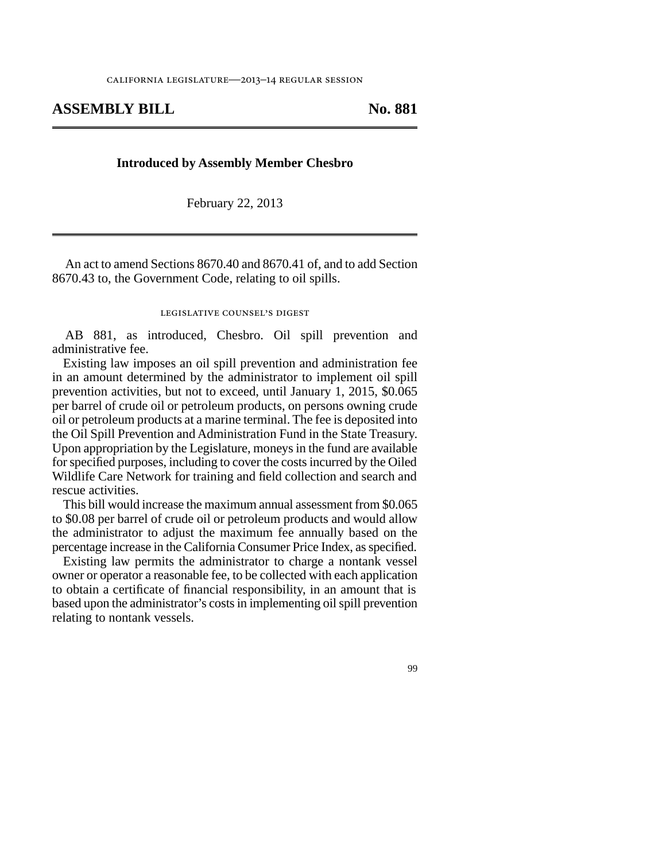## ASSEMBLY BILL No. 881

#### **Introduced by Assembly Member Chesbro**

February 22, 2013

An act to amend Sections 8670.40 and 8670.41 of, and to add Section 8670.43 to, the Government Code, relating to oil spills.

#### legislative counsel's digest

AB 881, as introduced, Chesbro. Oil spill prevention and administrative fee.

Existing law imposes an oil spill prevention and administration fee in an amount determined by the administrator to implement oil spill prevention activities, but not to exceed, until January 1, 2015, \$0.065 per barrel of crude oil or petroleum products, on persons owning crude oil or petroleum products at a marine terminal. The fee is deposited into the Oil Spill Prevention and Administration Fund in the State Treasury. Upon appropriation by the Legislature, moneys in the fund are available for specified purposes, including to cover the costs incurred by the Oiled Wildlife Care Network for training and field collection and search and rescue activities.

This bill would increase the maximum annual assessment from \$0.065 to \$0.08 per barrel of crude oil or petroleum products and would allow the administrator to adjust the maximum fee annually based on the percentage increase in the California Consumer Price Index, as specified.

Existing law permits the administrator to charge a nontank vessel owner or operator a reasonable fee, to be collected with each application to obtain a certificate of financial responsibility, in an amount that is based upon the administrator's costs in implementing oil spill prevention relating to nontank vessels.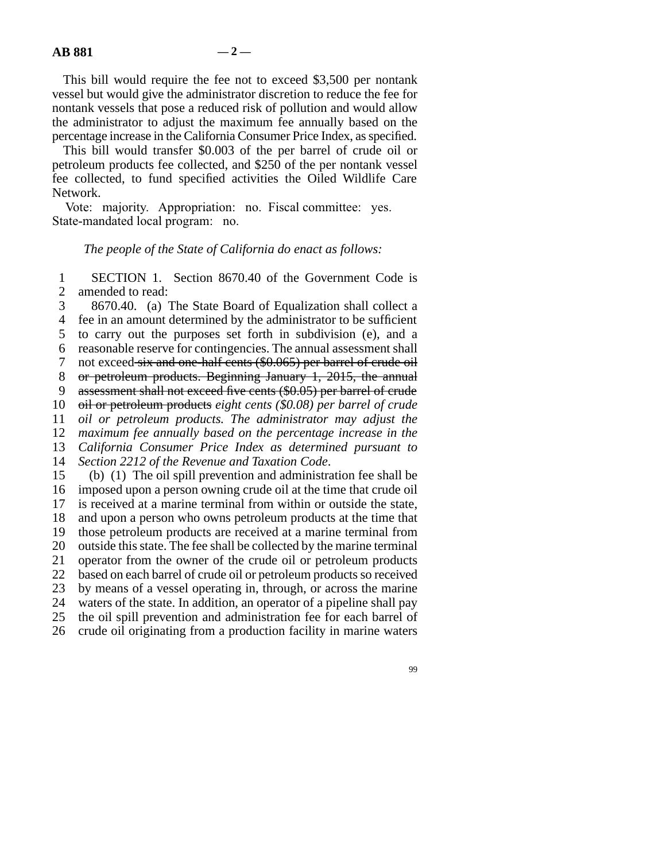This bill would require the fee not to exceed \$3,500 per nontank vessel but would give the administrator discretion to reduce the fee for nontank vessels that pose a reduced risk of pollution and would allow the administrator to adjust the maximum fee annually based on the percentage increase in the California Consumer Price Index, as specified.

This bill would transfer \$0.003 of the per barrel of crude oil or petroleum products fee collected, and \$250 of the per nontank vessel fee collected, to fund specified activities the Oiled Wildlife Care Network.

Vote: majority. Appropriation: no. Fiscal committee: yes. State-mandated local program: no.

#### *The people of the State of California do enact as follows:*

1 SECTION 1. Section 8670.40 of the Government Code is 2 amended to read:

3 8670.40. (a) The State Board of Equalization shall collect a 4 fee in an amount determined by the administrator to be sufficient 5 to carry out the purposes set forth in subdivision (e), and a line 6 reasonable reserve for contingencies. The annual assessment shall 7 not exceed six and one-half cents (\$0.065) per barrel of crude oil 8 or petroleum products. Beginning January 1, 2015, the annual 9 assessment shall not exceed five cents (\$0.05) per barrel of crude 10 oil or petroleum products eight cents (\$0.08) per barrel of crude 11 *oil or petroleum products. The administrator may adjust the* 12 *maximum fee annually based on the percentage increase in the* 13 *California Consumer Price Index as determined pursuant to* 14 *Section 2212 of the Revenue and Taxation Code.* 15 (b) (1) The oil spill prevention and administration fee shall be 16 imposed upon a person owning crude oil at the time that crude oil 17 is received at a marine terminal from within or outside the state, 18 and upon a person who owns petroleum products at the time that 19 those petroleum products are received at a marine terminal from 20 outside this state. The fee shall be collected by the marine terminal 21 operator from the owner of the crude oil or petroleum products 22 based on each barrel of crude oil or petroleum products so received 23 by means of a vessel operating in, through, or across the marine

24 waters of the state. In addition, an operator of a pipeline shall pay 25 the oil spill prevention and administration fee for each barrel of

26 crude oil originating from a production facility in marine waters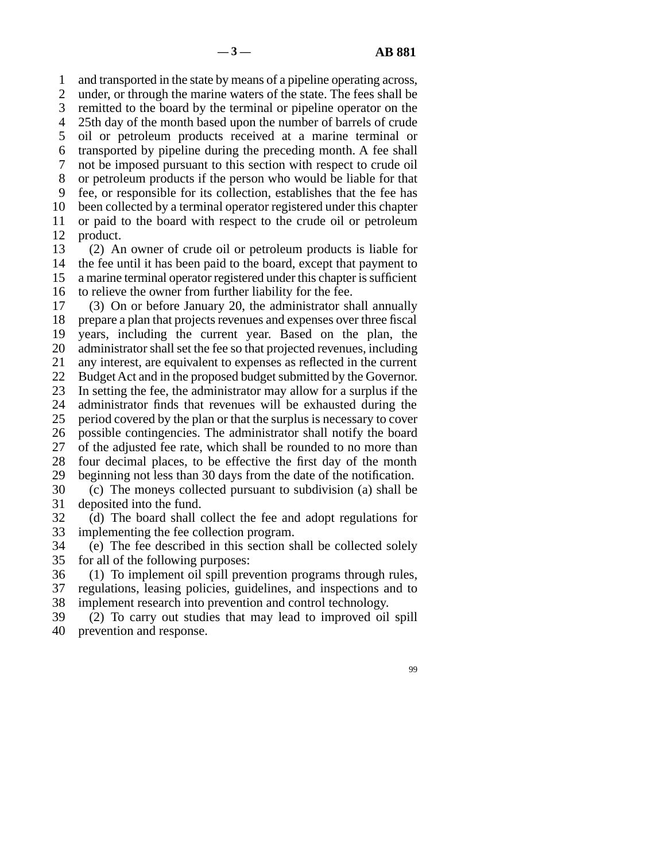line 1 and transported in the state by means of a pipeline operating across, 2 under, or through the marine waters of the state. The fees shall be 3 remitted to the board by the terminal or pipeline operator on the 4 25th day of the month based upon the number of barrels of crude 5 oil or petroleum products received at a marine terminal or line 6 transported by pipeline during the preceding month. A fee shall 7 not be imposed pursuant to this section with respect to crude oil 8 or petroleum products if the person who would be liable for that 9 fee, or responsible for its collection, establishes that the fee has 10 been collected by a terminal operator registered under this chapter 11 or paid to the board with respect to the crude oil or petroleum 12 product.

13 (2) An owner of crude oil or petroleum products is liable for 14 the fee until it has been paid to the board, except that payment to 15 a marine terminal operator registered under this chapter is sufficient 16 to relieve the owner from further liability for the fee.

17 (3) On or before January 20, the administrator shall annually 18 prepare a plan that projects revenues and expenses over three fiscal 19 years, including the current year. Based on the plan, the 20 administrator shall set the fee so that projected revenues, including 21 any interest, are equivalent to expenses as reflected in the current 22 Budget Act and in the proposed budget submitted by the Governor. 23 In setting the fee, the administrator may allow for a surplus if the 24 administrator finds that revenues will be exhausted during the 25 period covered by the plan or that the surplus is necessary to cover period covered by the plan or that the surplus is necessary to cover 26 possible contingencies. The administrator shall notify the board 27 of the adjusted fee rate, which shall be rounded to no more than 28 four decimal places, to be effective the first day of the month 29 beginning not less than 30 days from the date of the notification. 30 (c) The moneys collected pursuant to subdivision (a) shall be 31 deposited into the fund.

32 (d) The board shall collect the fee and adopt regulations for 33 implementing the fee collection program.

34 (e) The fee described in this section shall be collected solely 35 for all of the following purposes:

36 (1) To implement oil spill prevention programs through rules, 37 regulations, leasing policies, guidelines, and inspections and to 38 implement research into prevention and control technology.

39 (2) To carry out studies that may lead to improved oil spill 40 prevention and response.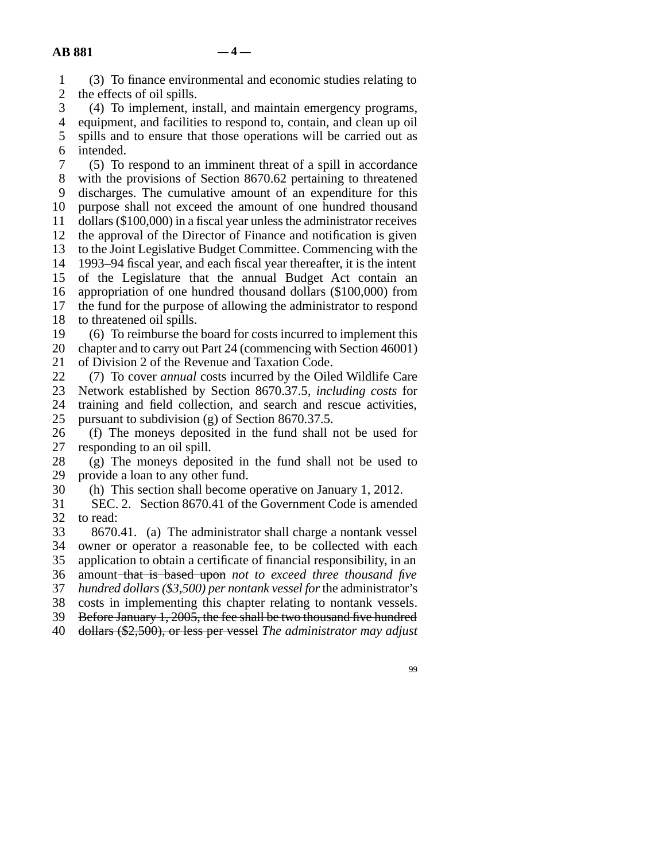|  | (3) To finance environmental and economic studies relating to                |
|--|------------------------------------------------------------------------------|
|  | 2 the effects of oil spills.                                                 |
|  | (4) To implement, install, and maintain emergency programs,                  |
|  | 4. agustus entre an definition de monomedia de contextura en la convencia de |

 line 4 equipment, and facilities to respond to, contain, and clean up oil 5 spills and to ensure that those operations will be carried out as 6 intended.

7 (5) To respond to an imminent threat of a spill in accordance 8 with the provisions of Section 8670.62 pertaining to threatened 9 discharges. The cumulative amount of an expenditure for this 10 purpose shall not exceed the amount of one hundred thousand 11 dollars (\$100,000) in a fiscal year unless the administrator receives 12 the approval of the Director of Finance and notification is given 13 to the Joint Legislative Budget Committee. Commencing with the 14 1993–94 fiscal year, and each fiscal year thereafter, it is the intent 15 of the Legislature that the annual Budget Act contain an 16 appropriation of one hundred thousand dollars (\$100,000) from 17 the fund for the purpose of allowing the administrator to respond 18 to threatened oil spills.

19 (6) To reimburse the board for costs incurred to implement this 20 chapter and to carry out Part 24 (commencing with Section 46001) 21 of Division 2 of the Revenue and Taxation Code.

22 (7) To cover *annual* costs incurred by the Oiled Wildlife Care<br>23 Network established by Section 8670.37.5, *including costs* for line 23 Network established by Section 8670.37.5*, including costs* for 24 training and field collection, and search and rescue activities,<br>25 pursuant to subdivision (g) of Section 8670.37.5. pursuant to subdivision (g) of Section 8670.37.5.

26 (f) The moneys deposited in the fund shall not be used for responding to an oil spill. responding to an oil spill.

 $28$  (g) The moneys deposited in the fund shall not be used to 29 provide a loan to any other fund.

30 (h) This section shall become operative on January 1, 2012.

31 SEC. 2. Section 8670.41 of the Government Code is amended 32 to read:

33 8670.41. (a) The administrator shall charge a nontank vessel 34 owner or operator a reasonable fee, to be collected with each 35 application to obtain a certificate of financial responsibility, in an line 36 amount that is based upon *not to exceed three thousand five* line 37 *hundred dollars (\$3,500) per nontank vessel for* the administrator's 38 costs in implementing this chapter relating to nontank vessels.

39 Before January 1, 2005, the fee shall be two thousand five hundred

line 40 dollars (\$2,500), or less per vessel *The administrator may adjust*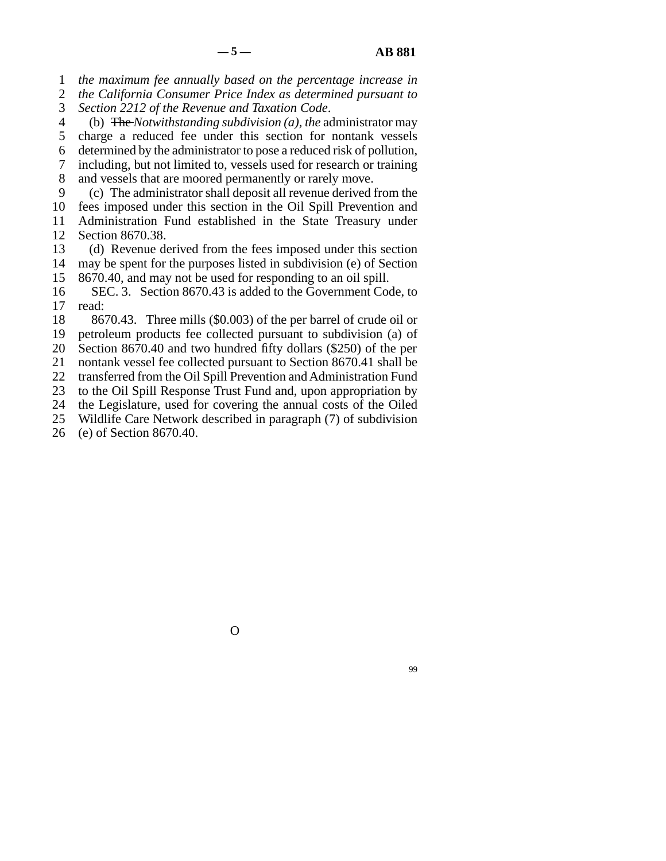line 1 *the maximum fee annually based on the percentage increase in*

2 *the California Consumer Price Index as determined pursuant to* 3 *Section 2212 of the Revenue and Taxation Code.* 

line 4 (b) The *Notwithstanding subdivision (a), the* administrator may

5 charge a reduced fee under this section for nontank vessels

 line 6 determined by the administrator to pose a reduced risk of pollution, line 7 including, but not limited to, vessels used for research or training

8 and vessels that are moored permanently or rarely move.

9 (c) The administrator shall deposit all revenue derived from the

10 fees imposed under this section in the Oil Spill Prevention and 11 Administration Fund established in the State Treasury under

12 Section 8670.38.

13 (d) Revenue derived from the fees imposed under this section 14 may be spent for the purposes listed in subdivision (e) of Section

15 8670.40, and may not be used for responding to an oil spill.

16 SEC. 3. Section 8670.43 is added to the Government Code, to 17 read:

18 8670.43. Three mills (\$0.003) of the per barrel of crude oil or

19 petroleum products fee collected pursuant to subdivision (a) of

20 Section 8670.40 and two hundred fifty dollars (\$250) of the per

21 nontank vessel fee collected pursuant to Section 8670.41 shall be

22 transferred from the Oil Spill Prevention and Administration Fund

23 to the Oil Spill Response Trust Fund and, upon appropriation by

24 the Legislature, used for covering the annual costs of the Oiled<br>25 Wildlife Care Network described in paragraph (7) of subdivision Wildlife Care Network described in paragraph (7) of subdivision

26 (e) of Section 8670.40.

O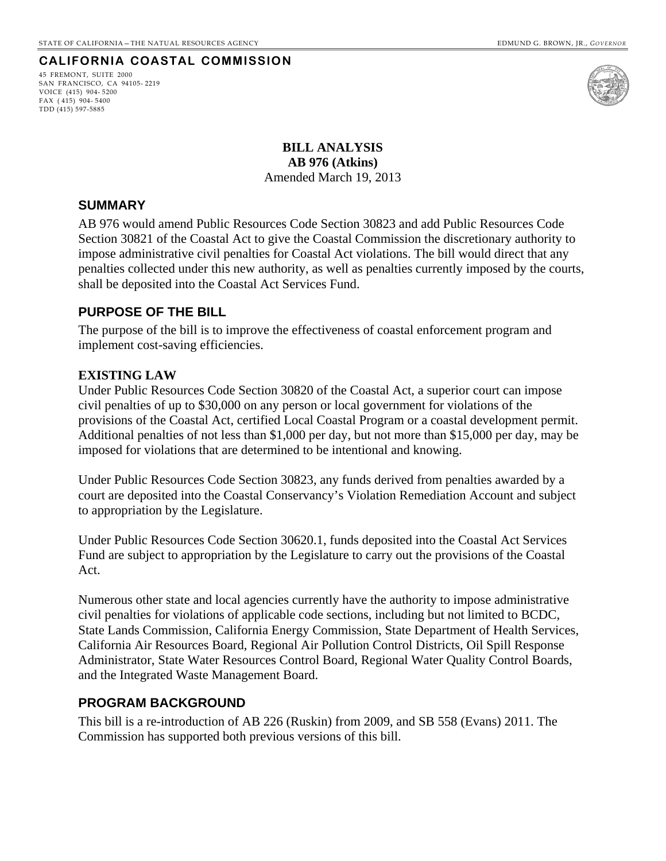## **CALIFORNIA COASTAL COMMISSION**

45 FREMONT, SUITE 2000 SAN FRANCISCO, CA 94105- 2219 VOICE (415) 904- 5200 FAX ( 415) 904- 5400 TDD (415) 597-5885



**BILL ANALYSIS AB 976 (Atkins)**  Amended March 19, 2013

## <span id="page-26-0"></span>**SUMMARY**

AB 976 would amend Public Resources Code Section 30823 and add Public Resources Code Section 30821 of the Coastal Act to give the Coastal Commission the discretionary authority to impose administrative civil penalties for Coastal Act violations. The bill would direct that any penalties collected under this new authority, as well as penalties currently imposed by the courts, shall be deposited into the Coastal Act Services Fund.

## **PURPOSE OF THE BILL**

The purpose of the bill is to improve the effectiveness of coastal enforcement program and implement cost-saving efficiencies.

## **EXISTING LAW**

Under Public Resources Code Section 30820 of the Coastal Act, a superior court can impose civil penalties of up to \$30,000 on any person or local government for violations of the provisions of the Coastal Act, certified Local Coastal Program or a coastal development permit. Additional penalties of not less than \$1,000 per day, but not more than \$15,000 per day, may be imposed for violations that are determined to be intentional and knowing.

Under Public Resources Code Section 30823, any funds derived from penalties awarded by a court are deposited into the Coastal Conservancy's Violation Remediation Account and subject to appropriation by the Legislature.

Under Public Resources Code Section 30620.1, funds deposited into the Coastal Act Services Fund are subject to appropriation by the Legislature to carry out the provisions of the Coastal Act.

Numerous other state and local agencies currently have the authority to impose administrative civil penalties for violations of applicable code sections, including but not limited to BCDC, State Lands Commission, California Energy Commission, State Department of Health Services, California Air Resources Board, Regional Air Pollution Control Districts, Oil Spill Response Administrator, State Water Resources Control Board, Regional Water Quality Control Boards, and the Integrated Waste Management Board.

## **PROGRAM BACKGROUND**

This bill is a re-introduction of AB 226 (Ruskin) from 2009, and SB 558 (Evans) 2011. The Commission has supported both previous versions of this bill.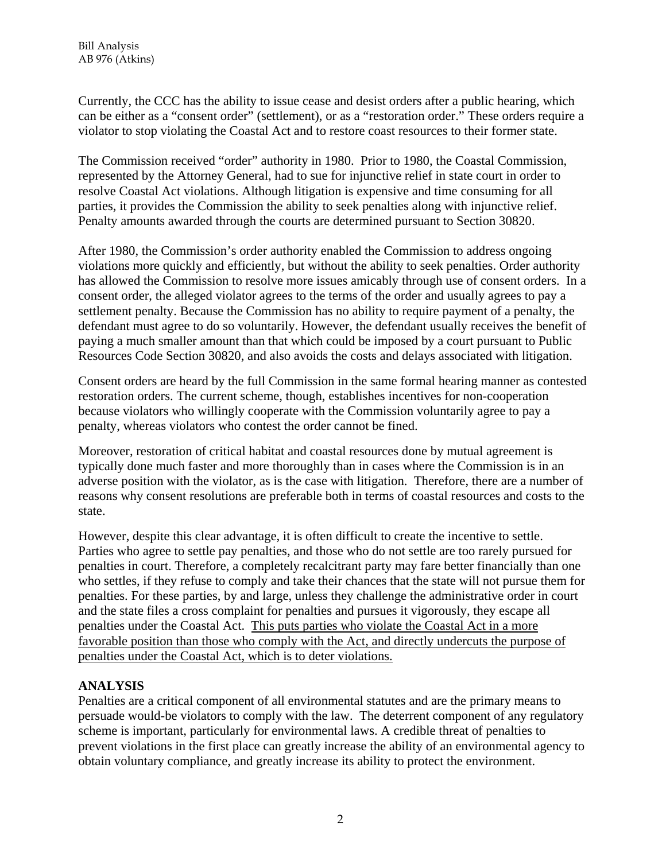Currently, the CCC has the ability to issue cease and desist orders after a public hearing, which can be either as a "consent order" (settlement), or as a "restoration order." These orders require a violator to stop violating the Coastal Act and to restore coast resources to their former state.

The Commission received "order" authority in 1980. Prior to 1980, the Coastal Commission, represented by the Attorney General, had to sue for injunctive relief in state court in order to resolve Coastal Act violations. Although litigation is expensive and time consuming for all parties, it provides the Commission the ability to seek penalties along with injunctive relief. Penalty amounts awarded through the courts are determined pursuant to Section 30820.

After 1980, the Commission's order authority enabled the Commission to address ongoing violations more quickly and efficiently, but without the ability to seek penalties. Order authority has allowed the Commission to resolve more issues amicably through use of consent orders. In a consent order, the alleged violator agrees to the terms of the order and usually agrees to pay a settlement penalty. Because the Commission has no ability to require payment of a penalty, the defendant must agree to do so voluntarily. However, the defendant usually receives the benefit of paying a much smaller amount than that which could be imposed by a court pursuant to Public Resources Code Section 30820, and also avoids the costs and delays associated with litigation.

Consent orders are heard by the full Commission in the same formal hearing manner as contested restoration orders. The current scheme, though, establishes incentives for non-cooperation because violators who willingly cooperate with the Commission voluntarily agree to pay a penalty, whereas violators who contest the order cannot be fined.

Moreover, restoration of critical habitat and coastal resources done by mutual agreement is typically done much faster and more thoroughly than in cases where the Commission is in an adverse position with the violator, as is the case with litigation. Therefore, there are a number of reasons why consent resolutions are preferable both in terms of coastal resources and costs to the state.

However, despite this clear advantage, it is often difficult to create the incentive to settle. Parties who agree to settle pay penalties, and those who do not settle are too rarely pursued for penalties in court. Therefore, a completely recalcitrant party may fare better financially than one who settles, if they refuse to comply and take their chances that the state will not pursue them for penalties. For these parties, by and large, unless they challenge the administrative order in court and the state files a cross complaint for penalties and pursues it vigorously, they escape all penalties under the Coastal Act. This puts parties who violate the Coastal Act in a more favorable position than those who comply with the Act, and directly undercuts the purpose of penalties under the Coastal Act, which is to deter violations.

# **ANALYSIS**

Penalties are a critical component of all environmental statutes and are the primary means to persuade would-be violators to comply with the law. The deterrent component of any regulatory scheme is important, particularly for environmental laws. A credible threat of penalties to prevent violations in the first place can greatly increase the ability of an environmental agency to obtain voluntary compliance, and greatly increase its ability to protect the environment.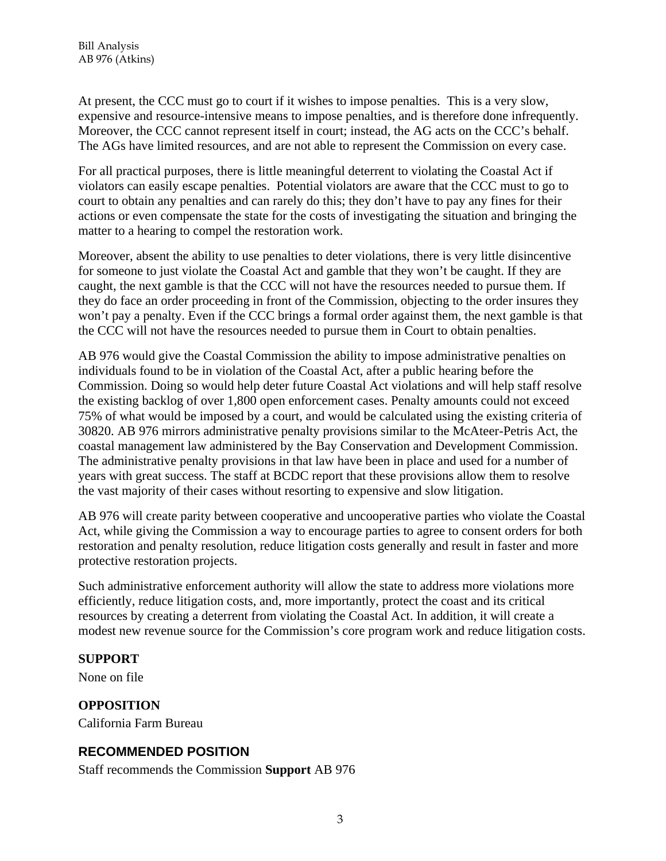At present, the CCC must go to court if it wishes to impose penalties. This is a very slow, expensive and resource-intensive means to impose penalties, and is therefore done infrequently. Moreover, the CCC cannot represent itself in court; instead, the AG acts on the CCC's behalf. The AGs have limited resources, and are not able to represent the Commission on every case.

For all practical purposes, there is little meaningful deterrent to violating the Coastal Act if violators can easily escape penalties. Potential violators are aware that the CCC must to go to court to obtain any penalties and can rarely do this; they don't have to pay any fines for their actions or even compensate the state for the costs of investigating the situation and bringing the matter to a hearing to compel the restoration work.

Moreover, absent the ability to use penalties to deter violations, there is very little disincentive for someone to just violate the Coastal Act and gamble that they won't be caught. If they are caught, the next gamble is that the CCC will not have the resources needed to pursue them. If they do face an order proceeding in front of the Commission, objecting to the order insures they won't pay a penalty. Even if the CCC brings a formal order against them, the next gamble is that the CCC will not have the resources needed to pursue them in Court to obtain penalties.

AB 976 would give the Coastal Commission the ability to impose administrative penalties on individuals found to be in violation of the Coastal Act, after a public hearing before the Commission. Doing so would help deter future Coastal Act violations and will help staff resolve the existing backlog of over 1,800 open enforcement cases. Penalty amounts could not exceed 75% of what would be imposed by a court, and would be calculated using the existing criteria of 30820. AB 976 mirrors administrative penalty provisions similar to the McAteer-Petris Act, the coastal management law administered by the Bay Conservation and Development Commission. The administrative penalty provisions in that law have been in place and used for a number of years with great success. The staff at BCDC report that these provisions allow them to resolve the vast majority of their cases without resorting to expensive and slow litigation.

AB 976 will create parity between cooperative and uncooperative parties who violate the Coastal Act, while giving the Commission a way to encourage parties to agree to consent orders for both restoration and penalty resolution, reduce litigation costs generally and result in faster and more protective restoration projects.

Such administrative enforcement authority will allow the state to address more violations more efficiently, reduce litigation costs, and, more importantly, protect the coast and its critical resources by creating a deterrent from violating the Coastal Act. In addition, it will create a modest new revenue source for the Commission's core program work and reduce litigation costs.

# **SUPPORT**

None on file

# **OPPOSITION**

California Farm Bureau

# **RECOMMENDED POSITION**

Staff recommends the Commission **Support** AB 976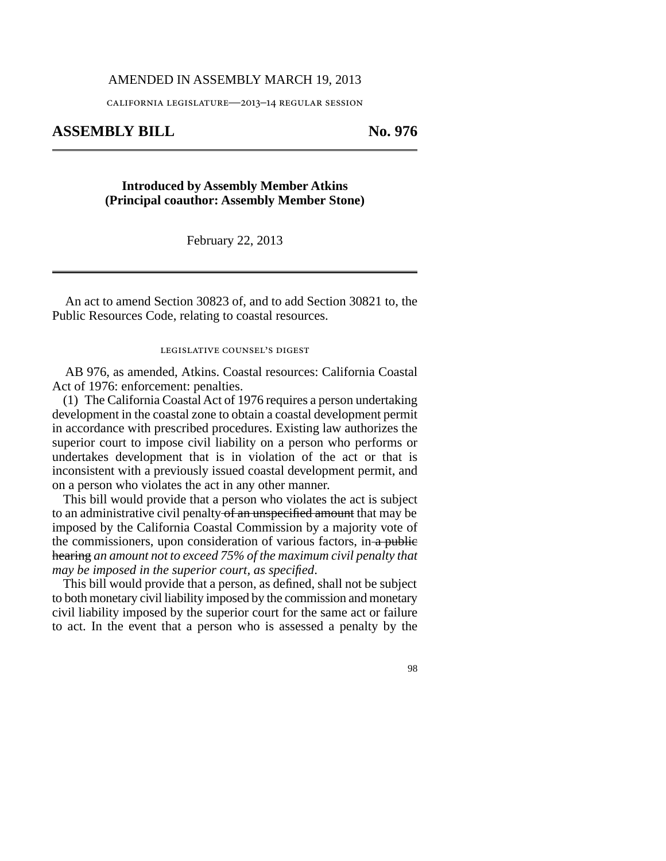#### AMENDED IN ASSEMBLY MARCH 19, 2013

california legislature—2013–14 regular session

## **ASSEMBLY BILL No. 976**

## **Introduced by Assembly Member Atkins (Principal coauthor: Assembly Member Stone)**

February 22, 2013

An act to amend Section 30823 of, and to add Section 30821 to, the Public Resources Code, relating to coastal resources.

#### legislative counsel's digest

AB 976, as amended, Atkins. Coastal resources: California Coastal Act of 1976: enforcement: penalties.

(1) The California Coastal Act of 1976 requires a person undertaking development in the coastal zone to obtain a coastal development permit in accordance with prescribed procedures. Existing law authorizes the superior court to impose civil liability on a person who performs or undertakes development that is in violation of the act or that is inconsistent with a previously issued coastal development permit, and on a person who violates the act in any other manner.

This bill would provide that a person who violates the act is subject to an administrative civil penalty of an unspecified amount that may be imposed by the California Coastal Commission by a majority vote of the commissioners, upon consideration of various factors, in a public hearing *an amount not to exceed 75% of the maximum civil penalty that may be imposed in the superior court, as specified*.

This bill would provide that a person, as defined, shall not be subject to both monetary civil liability imposed by the commission and monetary civil liability imposed by the superior court for the same act or failure to act. In the event that a person who is assessed a penalty by the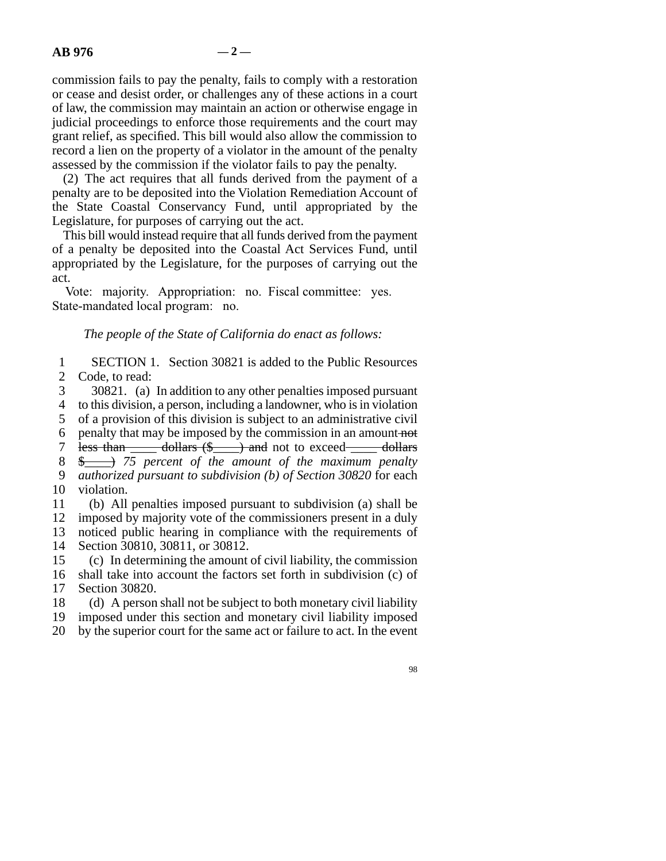commission fails to pay the penalty, fails to comply with a restoration or cease and desist order, or challenges any of these actions in a court of law, the commission may maintain an action or otherwise engage in judicial proceedings to enforce those requirements and the court may grant relief, as specified. This bill would also allow the commission to record a lien on the property of a violator in the amount of the penalty assessed by the commission if the violator fails to pay the penalty.

(2) The act requires that all funds derived from the payment of a penalty are to be deposited into the Violation Remediation Account of the State Coastal Conservancy Fund, until appropriated by the Legislature, for purposes of carrying out the act.

This bill would instead require that all funds derived from the payment of a penalty be deposited into the Coastal Act Services Fund, until appropriated by the Legislature, for the purposes of carrying out the act.

Vote: majority. Appropriation: no. Fiscal committee: yes. State-mandated local program: no.

*The people of the State of California do enact as follows:*

1 SECTION 1. Section 30821 is added to the Public Resources 2 Code, to read:

3 30821. (a) In addition to any other penalties imposed pursuant 4 to this division, a person, including a landowner, who is in violation

5 of a provision of this division is subject to an administrative civil

6 penalty that may be imposed by the commission in an amount not

7 less than  $\frac{1}{\sqrt{2}}$  dollars (\$ $\frac{1}{\sqrt{2}}$ ) and not to exceed  $\frac{1}{\sqrt{2}}$  dollars

8 \$  $\longrightarrow$  75 percent of the amount of the maximum penalty line 9 *authorized pursuant to subdivision (b) of Section 30820* for each 10 violation.

 line 11 (b) All penalties imposed pursuant to subdivision (a) shall be 12 imposed by majority vote of the commissioners present in a duly 13 noticed public hearing in compliance with the requirements of

14 Section 30810, 30811, or 30812.

15 (c) In determining the amount of civil liability, the commission 16 shall take into account the factors set forth in subdivision (c) of 17 Section 30820.

18 (d) A person shall not be subject to both monetary civil liability

19 imposed under this section and monetary civil liability imposed

20 by the superior court for the same act or failure to act. In the event